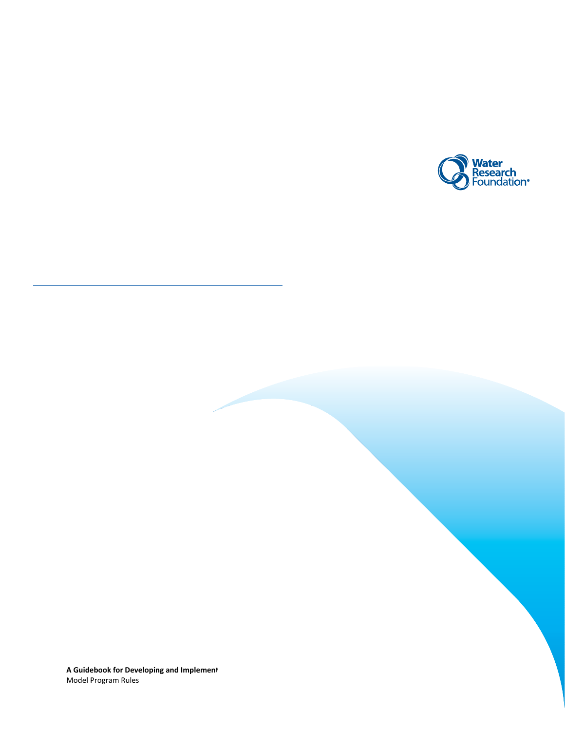

**A Guidebook for Developing and Implement** Model Program Rules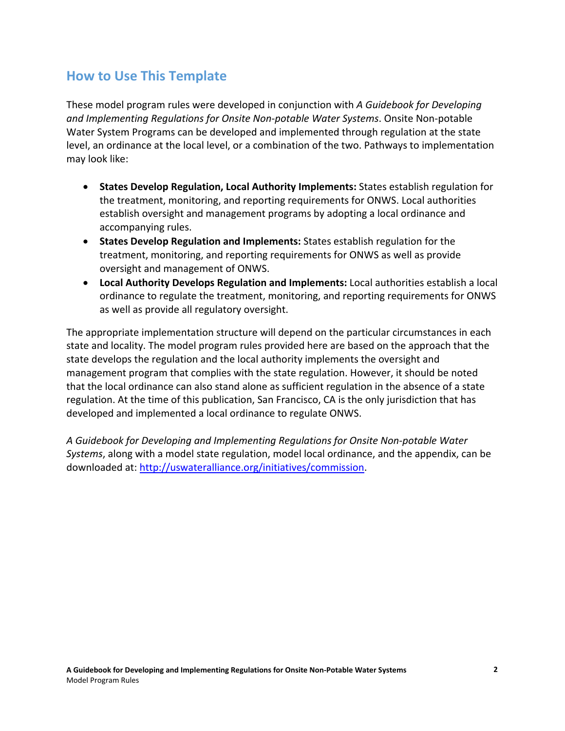# **How to Use This Template**

These model program rules were developed in conjunction with *A Guidebook for Developing and Implementing Regulations for Onsite Non-potable Water Systems*. Onsite Non-potable Water System Programs can be developed and implemented through regulation at the state level, an ordinance at the local level, or a combination of the two. Pathways to implementation may look like:

- **States Develop Regulation, Local Authority Implements:** States establish regulation for the treatment, monitoring, and reporting requirements for ONWS. Local authorities establish oversight and management programs by adopting a local ordinance and accompanying rules.
- **States Develop Regulation and Implements:** States establish regulation for the treatment, monitoring, and reporting requirements for ONWS as well as provide oversight and management of ONWS.
- **Local Authority Develops Regulation and Implements:** Local authorities establish a local ordinance to regulate the treatment, monitoring, and reporting requirements for ONWS as well as provide all regulatory oversight.

The appropriate implementation structure will depend on the particular circumstances in each state and locality. The model program rules provided here are based on the approach that the state develops the regulation and the local authority implements the oversight and management program that complies with the state regulation. However, it should be noted that the local ordinance can also stand alone as sufficient regulation in the absence of a state regulation. At the time of this publication, San Francisco, CA is the only jurisdiction that has developed and implemented a local ordinance to regulate ONWS.

*A Guidebook for Developing and Implementing Regulations for Onsite Non-potable Water Systems*, along with a model state regulation, model local ordinance, and the appendix, can be downloaded at: [http://uswateralliance.org/initiatives/commission.](http://uswateralliance.org/initiatives/commission)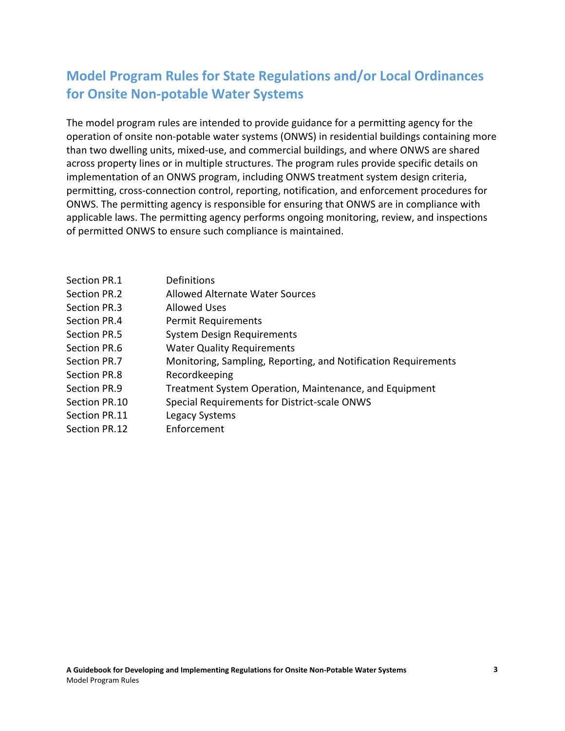# **Model Program Rules for State Regulations and/or Local Ordinances for Onsite Non-potable Water Systems**

The model program rules are intended to provide guidance for a permitting agency for the operation of onsite non-potable water systems (ONWS) in residential buildings containing more than two dwelling units, mixed-use, and commercial buildings, and where ONWS are shared across property lines or in multiple structures. The program rules provide specific details on implementation of an ONWS program, including ONWS treatment system design criteria, permitting, cross-connection control, reporting, notification, and enforcement procedures for ONWS. The permitting agency is responsible for ensuring that ONWS are in compliance with applicable laws. The permitting agency performs ongoing monitoring, review, and inspections of permitted ONWS to ensure such compliance is maintained.

| Section PR.1  | Definitions                                                    |
|---------------|----------------------------------------------------------------|
| Section PR.2  | <b>Allowed Alternate Water Sources</b>                         |
| Section PR.3  | Allowed Uses                                                   |
| Section PR.4  | <b>Permit Requirements</b>                                     |
| Section PR.5  | <b>System Design Requirements</b>                              |
| Section PR.6  | <b>Water Quality Requirements</b>                              |
| Section PR.7  | Monitoring, Sampling, Reporting, and Notification Requirements |
| Section PR.8  | Recordkeeping                                                  |
| Section PR.9  | Treatment System Operation, Maintenance, and Equipment         |
| Section PR.10 | Special Requirements for District-scale ONWS                   |
| Section PR.11 | Legacy Systems                                                 |
| Section PR.12 | Enforcement                                                    |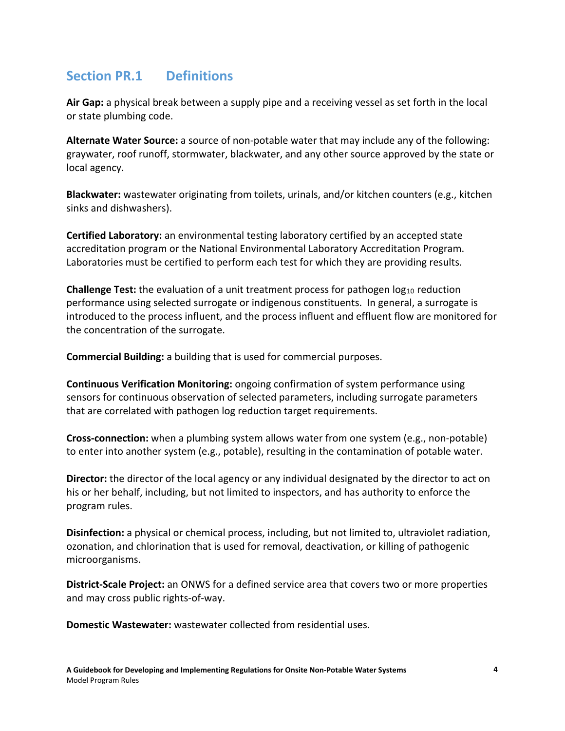# **Section PR.1 Definitions**

**Air Gap:** a physical break between a supply pipe and a receiving vessel as set forth in the local or state plumbing code.

**Alternate Water Source:** a source of non-potable water that may include any of the following: graywater, roof runoff, stormwater, blackwater, and any other source approved by the state or local agency.

**Blackwater:** wastewater originating from toilets, urinals, and/or kitchen counters (e.g., kitchen sinks and dishwashers).

**Certified Laboratory:** an environmental testing laboratory certified by an accepted state accreditation program or the National Environmental Laboratory Accreditation Program. Laboratories must be certified to perform each test for which they are providing results.

**Challenge Test:** the evaluation of a unit treatment process for pathogen log<sub>10</sub> reduction performance using selected surrogate or indigenous constituents. In general, a surrogate is introduced to the process influent, and the process influent and effluent flow are monitored for the concentration of the surrogate.

**Commercial Building:** a building that is used for commercial purposes.

**Continuous Verification Monitoring:** ongoing confirmation of system performance using sensors for continuous observation of selected parameters, including surrogate parameters that are correlated with pathogen log reduction target requirements.

**Cross-connection:** when a plumbing system allows water from one system (e.g., non-potable) to enter into another system (e.g., potable), resulting in the contamination of potable water.

**Director:** the director of the local agency or any individual designated by the director to act on his or her behalf, including, but not limited to inspectors, and has authority to enforce the program rules.

**Disinfection:** a physical or chemical process, including, but not limited to, ultraviolet radiation, ozonation, and chlorination that is used for removal, deactivation, or killing of pathogenic microorganisms.

**District-Scale Project:** an ONWS for a defined service area that covers two or more properties and may cross public rights-of-way.

**Domestic Wastewater:** wastewater collected from residential uses.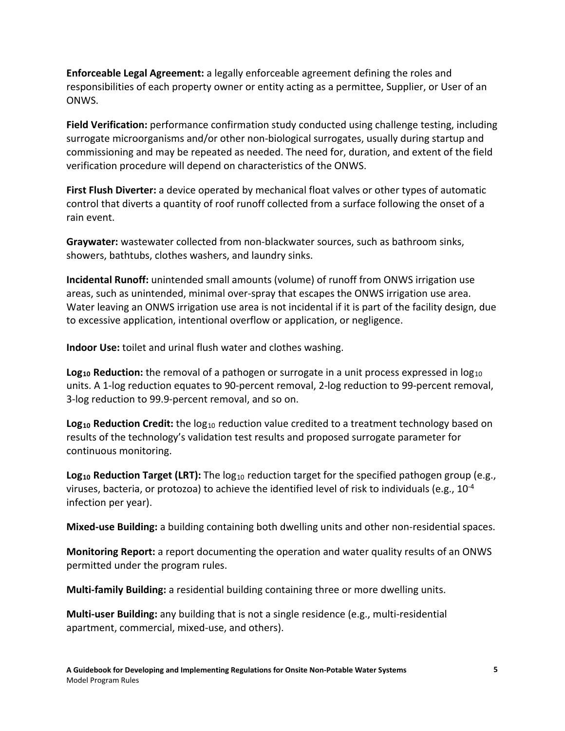**Enforceable Legal Agreement:** a legally enforceable agreement defining the roles and responsibilities of each property owner or entity acting as a permittee, Supplier, or User of an ONWS.

**Field Verification:** performance confirmation study conducted using challenge testing, including surrogate microorganisms and/or other non-biological surrogates, usually during startup and commissioning and may be repeated as needed. The need for, duration, and extent of the field verification procedure will depend on characteristics of the ONWS.

**First Flush Diverter:** a device operated by mechanical float valves or other types of automatic control that diverts a quantity of roof runoff collected from a surface following the onset of a rain event.

**Graywater:** wastewater collected from non-blackwater sources, such as bathroom sinks, showers, bathtubs, clothes washers, and laundry sinks.

**Incidental Runoff:** unintended small amounts (volume) of runoff from ONWS irrigation use areas, such as unintended, minimal over-spray that escapes the ONWS irrigation use area. Water leaving an ONWS irrigation use area is not incidental if it is part of the facility design, due to excessive application, intentional overflow or application, or negligence.

**Indoor Use:** toilet and urinal flush water and clothes washing.

**Log<sub>10</sub> Reduction:** the removal of a pathogen or surrogate in a unit process expressed in  $log_{10}$ units. A 1-log reduction equates to 90-percent removal, 2-log reduction to 99-percent removal, 3-log reduction to 99.9-percent removal, and so on.

**Log<sub>10</sub> Reduction Credit:** the log<sub>10</sub> reduction value credited to a treatment technology based on results of the technology's validation test results and proposed surrogate parameter for continuous monitoring.

**Log<sub>10</sub> Reduction Target (LRT):** The log<sub>10</sub> reduction target for the specified pathogen group (e.g., viruses, bacteria, or protozoa) to achieve the identified level of risk to individuals (e.g.,  $10^{-4}$ ) infection per year).

**Mixed-use Building:** a building containing both dwelling units and other non-residential spaces.

**Monitoring Report:** a report documenting the operation and water quality results of an ONWS permitted under the program rules.

**Multi-family Building:** a residential building containing three or more dwelling units.

**Multi-user Building:** any building that is not a single residence (e.g., multi-residential apartment, commercial, mixed-use, and others).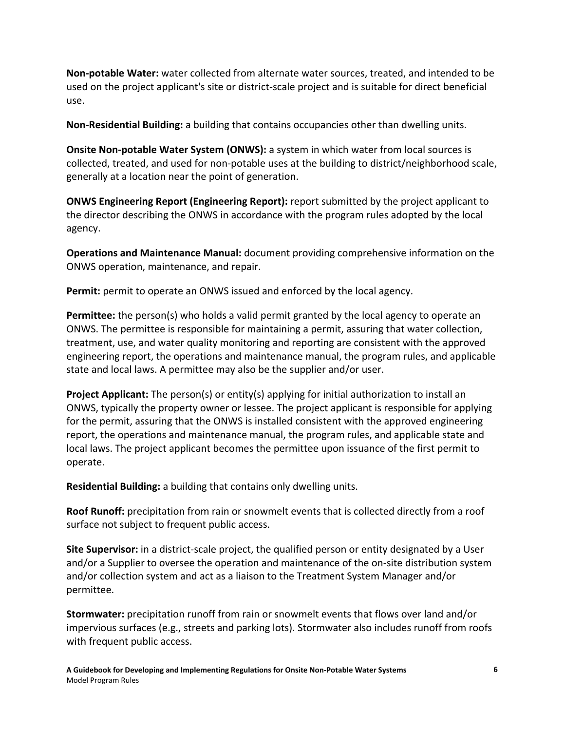**Non-potable Water:** water collected from alternate water sources, treated, and intended to be used on the project applicant's site or district-scale project and is suitable for direct beneficial use.

**Non-Residential Building:** a building that contains occupancies other than dwelling units.

**Onsite Non-potable Water System (ONWS):** a system in which water from local sources is collected, treated, and used for non-potable uses at the building to district/neighborhood scale, generally at a location near the point of generation.

**ONWS Engineering Report (Engineering Report):** report submitted by the project applicant to the director describing the ONWS in accordance with the program rules adopted by the local agency.

**Operations and Maintenance Manual:** document providing comprehensive information on the ONWS operation, maintenance, and repair.

**Permit:** permit to operate an ONWS issued and enforced by the local agency.

**Permittee:** the person(s) who holds a valid permit granted by the local agency to operate an ONWS. The permittee is responsible for maintaining a permit, assuring that water collection, treatment, use, and water quality monitoring and reporting are consistent with the approved engineering report, the operations and maintenance manual, the program rules, and applicable state and local laws. A permittee may also be the supplier and/or user.

**Project Applicant:** The person(s) or entity(s) applying for initial authorization to install an ONWS, typically the property owner or lessee. The project applicant is responsible for applying for the permit, assuring that the ONWS is installed consistent with the approved engineering report, the operations and maintenance manual, the program rules, and applicable state and local laws. The project applicant becomes the permittee upon issuance of the first permit to operate.

**Residential Building:** a building that contains only dwelling units.

**Roof Runoff:** precipitation from rain or snowmelt events that is collected directly from a roof surface not subject to frequent public access.

**Site Supervisor:** in a district-scale project, the qualified person or entity designated by a User and/or a Supplier to oversee the operation and maintenance of the on-site distribution system and/or collection system and act as a liaison to the Treatment System Manager and/or permittee.

**Stormwater:** precipitation runoff from rain or snowmelt events that flows over land and/or impervious surfaces (e.g., streets and parking lots). Stormwater also includes runoff from roofs with frequent public access.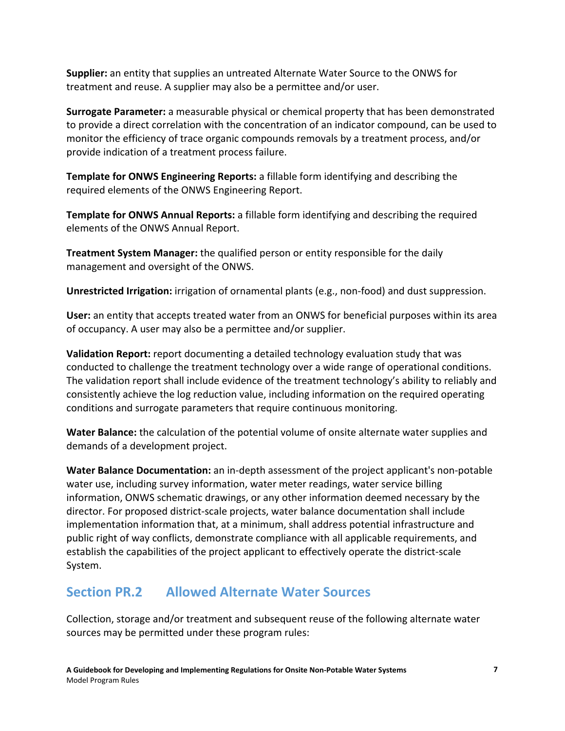**Supplier:** an entity that supplies an untreated Alternate Water Source to the ONWS for treatment and reuse. A supplier may also be a permittee and/or user.

**Surrogate Parameter:** a measurable physical or chemical property that has been demonstrated to provide a direct correlation with the concentration of an indicator compound, can be used to monitor the efficiency of trace organic compounds removals by a treatment process, and/or provide indication of a treatment process failure.

**Template for ONWS Engineering Reports:** a fillable form identifying and describing the required elements of the ONWS Engineering Report.

**Template for ONWS Annual Reports:** a fillable form identifying and describing the required elements of the ONWS Annual Report.

**Treatment System Manager:** the qualified person or entity responsible for the daily management and oversight of the ONWS.

**Unrestricted Irrigation:** irrigation of ornamental plants (e.g., non-food) and dust suppression.

**User:** an entity that accepts treated water from an ONWS for beneficial purposes within its area of occupancy. A user may also be a permittee and/or supplier.

**Validation Report:** report documenting a detailed technology evaluation study that was conducted to challenge the treatment technology over a wide range of operational conditions. The validation report shall include evidence of the treatment technology's ability to reliably and consistently achieve the log reduction value, including information on the required operating conditions and surrogate parameters that require continuous monitoring.

**Water Balance:** the calculation of the potential volume of onsite alternate water supplies and demands of a development project.

**Water Balance Documentation:** an in-depth assessment of the project applicant's non-potable water use, including survey information, water meter readings, water service billing information, ONWS schematic drawings, or any other information deemed necessary by the director. For proposed district-scale projects, water balance documentation shall include implementation information that, at a minimum, shall address potential infrastructure and public right of way conflicts, demonstrate compliance with all applicable requirements, and establish the capabilities of the project applicant to effectively operate the district-scale System.

# **Section PR.2 Allowed Alternate Water Sources**

Collection, storage and/or treatment and subsequent reuse of the following alternate water sources may be permitted under these program rules: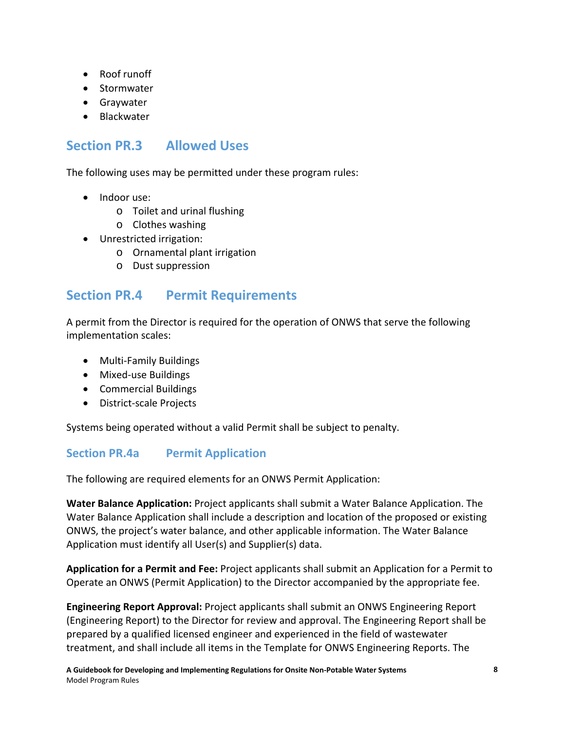- Roof runoff
- Stormwater
- Graywater
- Blackwater

# **Section PR.3 Allowed Uses**

The following uses may be permitted under these program rules:

- Indoor use:
	- o Toilet and urinal flushing
	- o Clothes washing
- Unrestricted irrigation:
	- o Ornamental plant irrigation
	- o Dust suppression

# **Section PR.4 Permit Requirements**

A permit from the Director is required for the operation of ONWS that serve the following implementation scales:

- Multi-Family Buildings
- Mixed-use Buildings
- Commercial Buildings
- District-scale Projects

Systems being operated without a valid Permit shall be subject to penalty.

## **Section PR.4a Permit Application**

The following are required elements for an ONWS Permit Application:

**Water Balance Application:** Project applicants shall submit a Water Balance Application. The Water Balance Application shall include a description and location of the proposed or existing ONWS, the project's water balance, and other applicable information. The Water Balance Application must identify all User(s) and Supplier(s) data.

**Application for a Permit and Fee:** Project applicants shall submit an Application for a Permit to Operate an ONWS (Permit Application) to the Director accompanied by the appropriate fee.

**Engineering Report Approval:** Project applicants shall submit an ONWS Engineering Report (Engineering Report) to the Director for review and approval. The Engineering Report shall be prepared by a qualified licensed engineer and experienced in the field of wastewater treatment, and shall include all items in the Template for ONWS Engineering Reports. The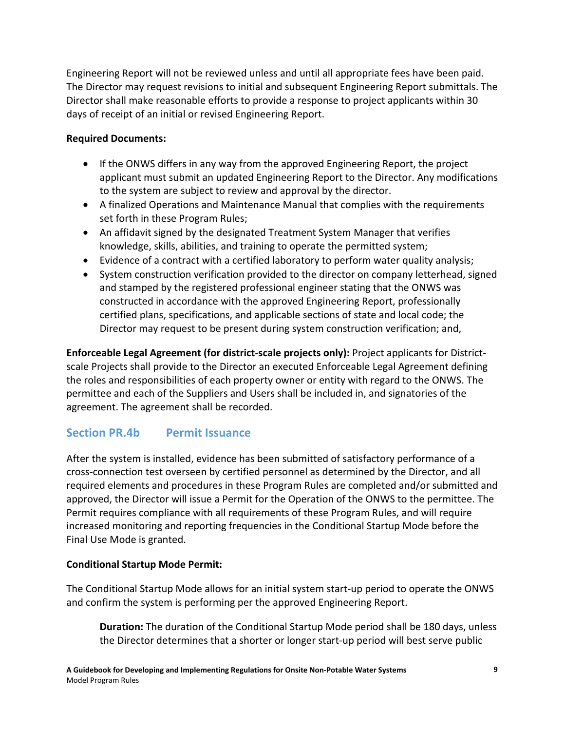Engineering Report will not be reviewed unless and until all appropriate fees have been paid. The Director may request revisions to initial and subsequent Engineering Report submittals. The Director shall make reasonable efforts to provide a response to project applicants within 30 days of receipt of an initial or revised Engineering Report.

### **Required Documents:**

- If the ONWS differs in any way from the approved Engineering Report, the project applicant must submit an updated Engineering Report to the Director. Any modifications to the system are subject to review and approval by the director.
- A finalized Operations and Maintenance Manual that complies with the requirements set forth in these Program Rules;
- An affidavit signed by the designated Treatment System Manager that verifies knowledge, skills, abilities, and training to operate the permitted system;
- Evidence of a contract with a certified laboratory to perform water quality analysis;
- System construction verification provided to the director on company letterhead, signed and stamped by the registered professional engineer stating that the ONWS was constructed in accordance with the approved Engineering Report, professionally certified plans, specifications, and applicable sections of state and local code; the Director may request to be present during system construction verification; and,

**Enforceable Legal Agreement (for district-scale projects only):** Project applicants for Districtscale Projects shall provide to the Director an executed Enforceable Legal Agreement defining the roles and responsibilities of each property owner or entity with regard to the ONWS. The permittee and each of the Suppliers and Users shall be included in, and signatories of the agreement. The agreement shall be recorded.

## **Section PR.4b Permit Issuance**

After the system is installed, evidence has been submitted of satisfactory performance of a cross-connection test overseen by certified personnel as determined by the Director, and all required elements and procedures in these Program Rules are completed and/or submitted and approved, the Director will issue a Permit for the Operation of the ONWS to the permittee. The Permit requires compliance with all requirements of these Program Rules, and will require increased monitoring and reporting frequencies in the Conditional Startup Mode before the Final Use Mode is granted.

### **Conditional Startup Mode Permit:**

The Conditional Startup Mode allows for an initial system start-up period to operate the ONWS and confirm the system is performing per the approved Engineering Report.

**Duration:** The duration of the Conditional Startup Mode period shall be 180 days, unless the Director determines that a shorter or longer start-up period will best serve public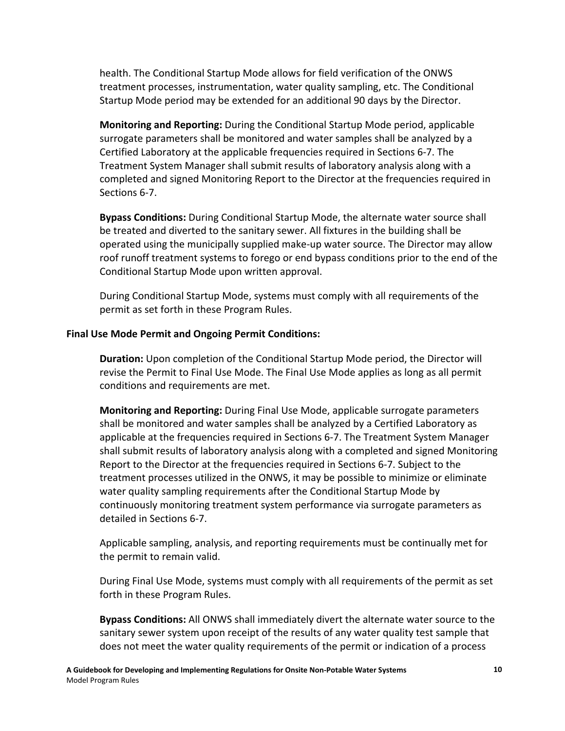health. The Conditional Startup Mode allows for field verification of the ONWS treatment processes, instrumentation, water quality sampling, etc. The Conditional Startup Mode period may be extended for an additional 90 days by the Director.

**Monitoring and Reporting:** During the Conditional Startup Mode period, applicable surrogate parameters shall be monitored and water samples shall be analyzed by a Certified Laboratory at the applicable frequencies required in Sections 6-7. The Treatment System Manager shall submit results of laboratory analysis along with a completed and signed Monitoring Report to the Director at the frequencies required in Sections 6-7.

**Bypass Conditions:** During Conditional Startup Mode, the alternate water source shall be treated and diverted to the sanitary sewer. All fixtures in the building shall be operated using the municipally supplied make-up water source. The Director may allow roof runoff treatment systems to forego or end bypass conditions prior to the end of the Conditional Startup Mode upon written approval.

During Conditional Startup Mode, systems must comply with all requirements of the permit as set forth in these Program Rules.

### **Final Use Mode Permit and Ongoing Permit Conditions:**

**Duration:** Upon completion of the Conditional Startup Mode period, the Director will revise the Permit to Final Use Mode. The Final Use Mode applies as long as all permit conditions and requirements are met.

**Monitoring and Reporting:** During Final Use Mode, applicable surrogate parameters shall be monitored and water samples shall be analyzed by a Certified Laboratory as applicable at the frequencies required in Sections 6-7. The Treatment System Manager shall submit results of laboratory analysis along with a completed and signed Monitoring Report to the Director at the frequencies required in Sections 6-7. Subject to the treatment processes utilized in the ONWS, it may be possible to minimize or eliminate water quality sampling requirements after the Conditional Startup Mode by continuously monitoring treatment system performance via surrogate parameters as detailed in Sections 6-7.

Applicable sampling, analysis, and reporting requirements must be continually met for the permit to remain valid.

During Final Use Mode, systems must comply with all requirements of the permit as set forth in these Program Rules.

**Bypass Conditions:** All ONWS shall immediately divert the alternate water source to the sanitary sewer system upon receipt of the results of any water quality test sample that does not meet the water quality requirements of the permit or indication of a process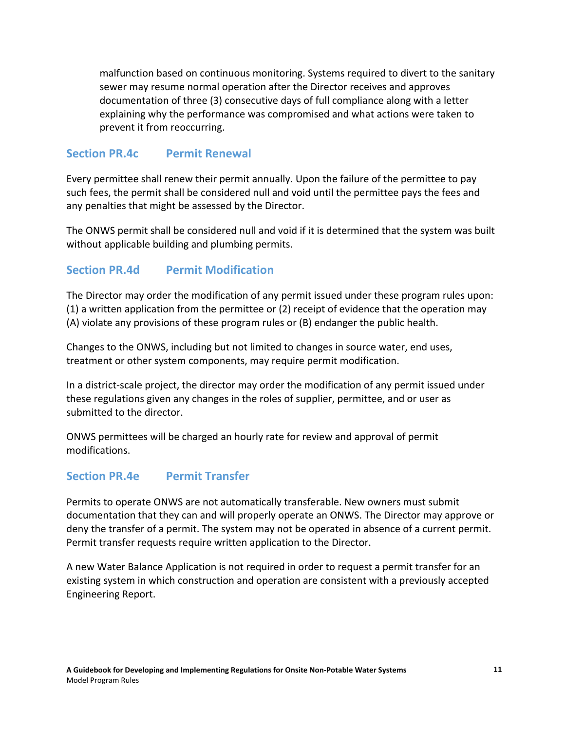malfunction based on continuous monitoring. Systems required to divert to the sanitary sewer may resume normal operation after the Director receives and approves documentation of three (3) consecutive days of full compliance along with a letter explaining why the performance was compromised and what actions were taken to prevent it from reoccurring.

### **Section PR.4c Permit Renewal**

Every permittee shall renew their permit annually. Upon the failure of the permittee to pay such fees, the permit shall be considered null and void until the permittee pays the fees and any penalties that might be assessed by the Director.

The ONWS permit shall be considered null and void if it is determined that the system was built without applicable building and plumbing permits.

### **Section PR.4d Permit Modification**

The Director may order the modification of any permit issued under these program rules upon: (1) a written application from the permittee or (2) receipt of evidence that the operation may (A) violate any provisions of these program rules or (B) endanger the public health.

Changes to the ONWS, including but not limited to changes in source water, end uses, treatment or other system components, may require permit modification.

In a district-scale project, the director may order the modification of any permit issued under these regulations given any changes in the roles of supplier, permittee, and or user as submitted to the director.

ONWS permittees will be charged an hourly rate for review and approval of permit modifications.

### **Section PR.4e Permit Transfer**

Permits to operate ONWS are not automatically transferable. New owners must submit documentation that they can and will properly operate an ONWS. The Director may approve or deny the transfer of a permit. The system may not be operated in absence of a current permit. Permit transfer requests require written application to the Director.

A new Water Balance Application is not required in order to request a permit transfer for an existing system in which construction and operation are consistent with a previously accepted Engineering Report.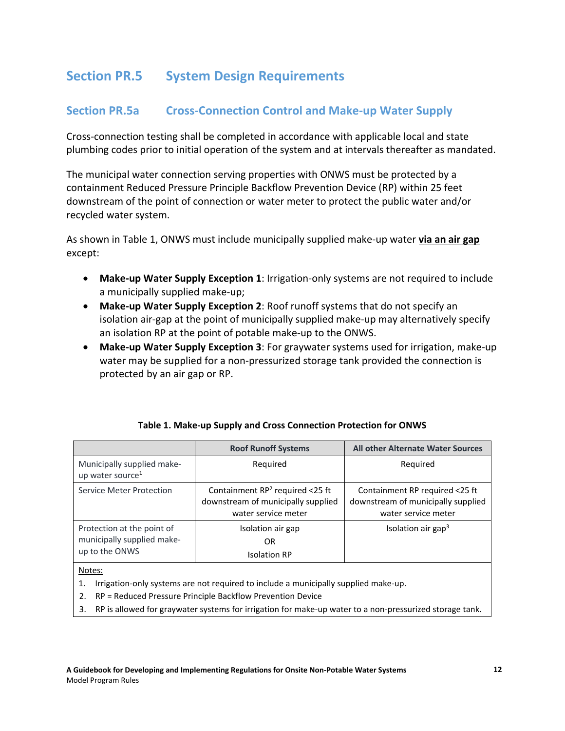# **Section PR.5 System Design Requirements**

### **Section PR.5a Cross-Connection Control and Make-up Water Supply**

Cross-connection testing shall be completed in accordance with applicable local and state plumbing codes prior to initial operation of the system and at intervals thereafter as mandated.

The municipal water connection serving properties with ONWS must be protected by a containment Reduced Pressure Principle Backflow Prevention Device (RP) within 25 feet downstream of the point of connection or water meter to protect the public water and/or recycled water system.

As shown in Table 1, ONWS must include municipally supplied make-up water **via an air gap** except:

- **Make-up Water Supply Exception 1**: Irrigation-only systems are not required to include a municipally supplied make-up;
- **Make-up Water Supply Exception 2**: Roof runoff systems that do not specify an isolation air-gap at the point of municipally supplied make-up may alternatively specify an isolation RP at the point of potable make-up to the ONWS.
- **Make-up Water Supply Exception 3**: For graywater systems used for irrigation, make-up water may be supplied for a non-pressurized storage tank provided the connection is protected by an air gap or RP.

|                                                                            | <b>Roof Runoff Systems</b>                                                                      | <b>All other Alternate Water Sources</b>                                                    |
|----------------------------------------------------------------------------|-------------------------------------------------------------------------------------------------|---------------------------------------------------------------------------------------------|
| Municipally supplied make-<br>up water source <sup>1</sup>                 | Reguired                                                                                        | Required                                                                                    |
| Service Meter Protection                                                   | Containment $RP^2$ required <25 ft<br>downstream of municipally supplied<br>water service meter | Containment RP required <25 ft<br>downstream of municipally supplied<br>water service meter |
| Protection at the point of<br>municipally supplied make-<br>up to the ONWS | Isolation air gap<br>OR.<br><b>Isolation RP</b>                                                 | Isolation air gap <sup>3</sup>                                                              |

### **Table 1. Make-up Supply and Cross Connection Protection for ONWS**

#### Notes:

- 1. Irrigation-only systems are not required to include a municipally supplied make-up.
- 2. RP = Reduced Pressure Principle Backflow Prevention Device
- 3. RP is allowed for graywater systems for irrigation for make-up water to a non-pressurized storage tank.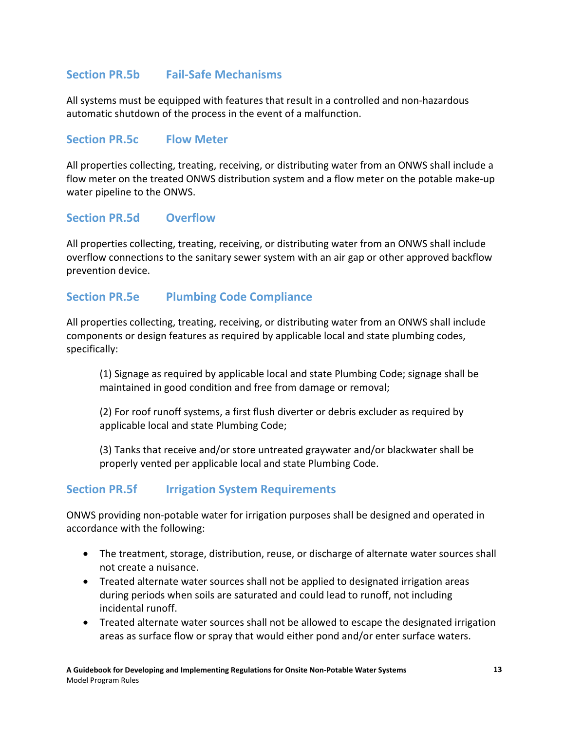## **Section PR.5b Fail-Safe Mechanisms**

All systems must be equipped with features that result in a controlled and non-hazardous automatic shutdown of the process in the event of a malfunction.

### **Section PR.5c Flow Meter**

All properties collecting, treating, receiving, or distributing water from an ONWS shall include a flow meter on the treated ONWS distribution system and a flow meter on the potable make-up water pipeline to the ONWS.

### **Section PR.5d Overflow**

All properties collecting, treating, receiving, or distributing water from an ONWS shall include overflow connections to the sanitary sewer system with an air gap or other approved backflow prevention device.

### **Section PR.5e Plumbing Code Compliance**

All properties collecting, treating, receiving, or distributing water from an ONWS shall include components or design features as required by applicable local and state plumbing codes, specifically:

(1) Signage as required by applicable local and state Plumbing Code; signage shall be maintained in good condition and free from damage or removal;

(2) For roof runoff systems, a first flush diverter or debris excluder as required by applicable local and state Plumbing Code;

(3) Tanks that receive and/or store untreated graywater and/or blackwater shall be properly vented per applicable local and state Plumbing Code.

### **Section PR.5f Irrigation System Requirements**

ONWS providing non-potable water for irrigation purposes shall be designed and operated in accordance with the following:

- The treatment, storage, distribution, reuse, or discharge of alternate water sources shall not create a nuisance.
- Treated alternate water sources shall not be applied to designated irrigation areas during periods when soils are saturated and could lead to runoff, not including incidental runoff.
- Treated alternate water sources shall not be allowed to escape the designated irrigation areas as surface flow or spray that would either pond and/or enter surface waters.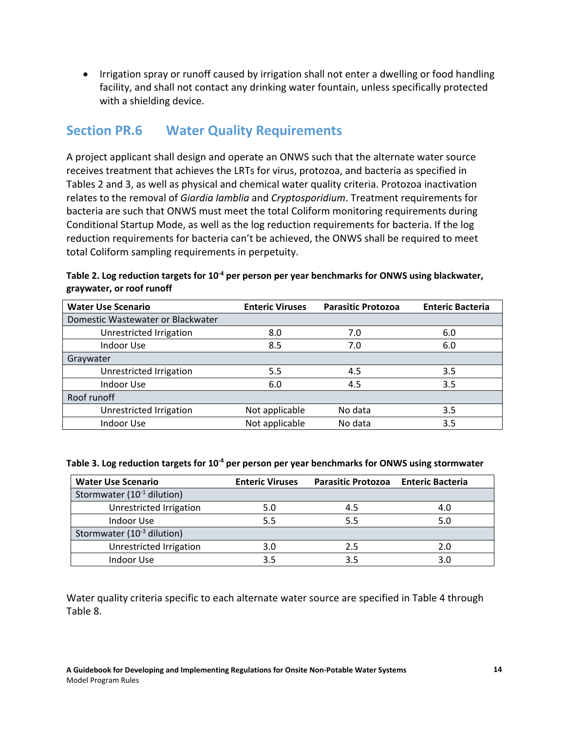• Irrigation spray or runoff caused by irrigation shall not enter a dwelling or food handling facility, and shall not contact any drinking water fountain, unless specifically protected with a shielding device.

# **Section PR.6 Water Quality Requirements**

A project applicant shall design and operate an ONWS such that the alternate water source receives treatment that achieves the LRTs for virus, protozoa, and bacteria as specified in Tables 2 and 3, as well as physical and chemical water quality criteria. Protozoa inactivation relates to the removal of *Giardia lamblia* and *Cryptosporidium*. Treatment requirements for bacteria are such that ONWS must meet the total Coliform monitoring requirements during Conditional Startup Mode, as well as the log reduction requirements for bacteria. If the log reduction requirements for bacteria can't be achieved, the ONWS shall be required to meet total Coliform sampling requirements in perpetuity.

| <b>Water Use Scenario</b>         | <b>Enteric Viruses</b> | <b>Parasitic Protozoa</b> | <b>Enteric Bacteria</b> |
|-----------------------------------|------------------------|---------------------------|-------------------------|
| Domestic Wastewater or Blackwater |                        |                           |                         |
| Unrestricted Irrigation           | 8.0                    | 7.0                       | 6.0                     |
| Indoor Use                        | 8.5                    | 7.0                       | 6.0                     |
| Graywater                         |                        |                           |                         |
| Unrestricted Irrigation           | 5.5                    | 4.5                       | 3.5                     |
| Indoor Use                        | 6.0                    | 4.5                       | 3.5                     |
| Roof runoff                       |                        |                           |                         |
| Unrestricted Irrigation           | Not applicable         | No data                   | 3.5                     |
| Indoor Use                        | Not applicable         | No data                   | 3.5                     |

#### Table 2. Log reduction targets for 10<sup>-4</sup> per person per year benchmarks for ONWS using blackwater, **graywater, or roof runoff**

#### Table 3. Log reduction targets for 10<sup>-4</sup> per person per year benchmarks for ONWS using stormwater

| <b>Water Use Scenario</b>              | <b>Enteric Viruses</b> | <b>Parasitic Protozoa</b> | <b>Enteric Bacteria</b> |
|----------------------------------------|------------------------|---------------------------|-------------------------|
| Stormwater (10 <sup>-1</sup> dilution) |                        |                           |                         |
| Unrestricted Irrigation                | 5.0                    | 4.5                       | 4.0                     |
| Indoor Use                             | 5.5                    | 5.5                       | 5.0                     |
| Stormwater (10 <sup>-3</sup> dilution) |                        |                           |                         |
| Unrestricted Irrigation                | 3.0                    | 2.5                       | 2.0                     |
| Indoor Use                             | 3.5                    | 3.5                       | 3.0                     |

Water quality criteria specific to each alternate water source are specified in Table 4 through Table 8.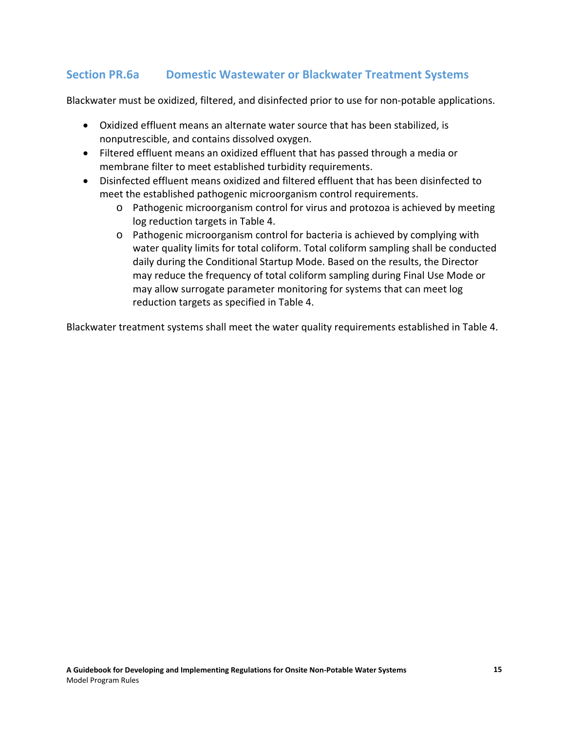## **Section PR.6a Domestic Wastewater or Blackwater Treatment Systems**

Blackwater must be oxidized, filtered, and disinfected prior to use for non-potable applications.

- Oxidized effluent means an alternate water source that has been stabilized, is nonputrescible, and contains dissolved oxygen.
- Filtered effluent means an oxidized effluent that has passed through a media or membrane filter to meet established turbidity requirements.
- Disinfected effluent means oxidized and filtered effluent that has been disinfected to meet the established pathogenic microorganism control requirements.
	- o Pathogenic microorganism control for virus and protozoa is achieved by meeting log reduction targets in Table 4.
	- o Pathogenic microorganism control for bacteria is achieved by complying with water quality limits for total coliform. Total coliform sampling shall be conducted daily during the Conditional Startup Mode. Based on the results, the Director may reduce the frequency of total coliform sampling during Final Use Mode or may allow surrogate parameter monitoring for systems that can meet log reduction targets as specified in Table 4.

Blackwater treatment systems shall meet the water quality requirements established in Table 4.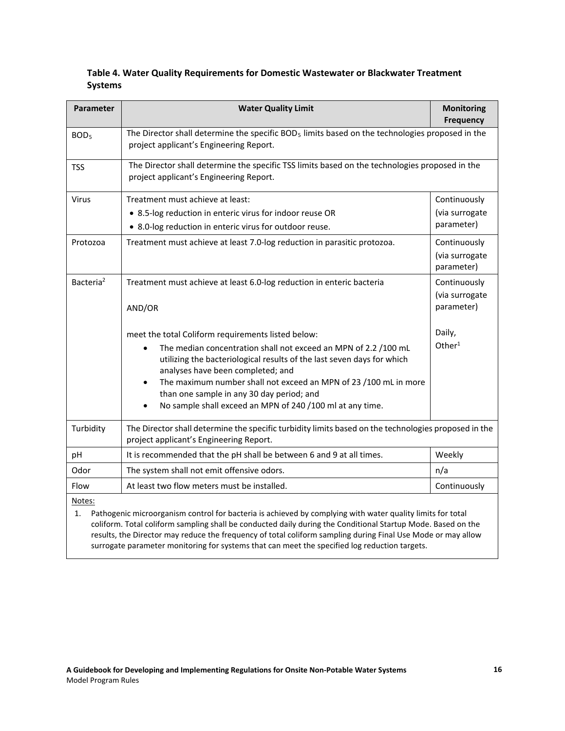#### **Table 4. Water Quality Requirements for Domestic Wastewater or Blackwater Treatment Systems**

| Parameter                                                                                                                                                                                                                                                                                                                                                  | <b>Water Quality Limit</b>                                                                                                                                                                                                                                                                                                                                                                                         | <b>Monitoring</b><br><b>Frequency</b>        |
|------------------------------------------------------------------------------------------------------------------------------------------------------------------------------------------------------------------------------------------------------------------------------------------------------------------------------------------------------------|--------------------------------------------------------------------------------------------------------------------------------------------------------------------------------------------------------------------------------------------------------------------------------------------------------------------------------------------------------------------------------------------------------------------|----------------------------------------------|
| BOD <sub>5</sub>                                                                                                                                                                                                                                                                                                                                           | The Director shall determine the specific $BOD5$ limits based on the technologies proposed in the<br>project applicant's Engineering Report.                                                                                                                                                                                                                                                                       |                                              |
| <b>TSS</b>                                                                                                                                                                                                                                                                                                                                                 | The Director shall determine the specific TSS limits based on the technologies proposed in the<br>project applicant's Engineering Report.                                                                                                                                                                                                                                                                          |                                              |
| Virus                                                                                                                                                                                                                                                                                                                                                      | Treatment must achieve at least:<br>• 8.5-log reduction in enteric virus for indoor reuse OR<br>• 8.0-log reduction in enteric virus for outdoor reuse.                                                                                                                                                                                                                                                            | Continuously<br>(via surrogate<br>parameter) |
| Protozoa                                                                                                                                                                                                                                                                                                                                                   | Treatment must achieve at least 7.0-log reduction in parasitic protozoa.                                                                                                                                                                                                                                                                                                                                           | Continuously<br>(via surrogate<br>parameter) |
| Bacteria <sup>2</sup>                                                                                                                                                                                                                                                                                                                                      | Treatment must achieve at least 6.0-log reduction in enteric bacteria<br>AND/OR                                                                                                                                                                                                                                                                                                                                    | Continuously<br>(via surrogate<br>parameter) |
|                                                                                                                                                                                                                                                                                                                                                            | meet the total Coliform requirements listed below:<br>The median concentration shall not exceed an MPN of 2.2 /100 mL<br>utilizing the bacteriological results of the last seven days for which<br>analyses have been completed; and<br>The maximum number shall not exceed an MPN of 23 /100 mL in more<br>than one sample in any 30 day period; and<br>No sample shall exceed an MPN of 240 /100 ml at any time. | Daily,<br>Other $1$                          |
| Turbidity                                                                                                                                                                                                                                                                                                                                                  | The Director shall determine the specific turbidity limits based on the technologies proposed in the<br>project applicant's Engineering Report.                                                                                                                                                                                                                                                                    |                                              |
| pH                                                                                                                                                                                                                                                                                                                                                         | It is recommended that the pH shall be between 6 and 9 at all times.                                                                                                                                                                                                                                                                                                                                               | Weekly                                       |
| Odor                                                                                                                                                                                                                                                                                                                                                       | The system shall not emit offensive odors.                                                                                                                                                                                                                                                                                                                                                                         | n/a                                          |
| Flow                                                                                                                                                                                                                                                                                                                                                       | At least two flow meters must be installed.                                                                                                                                                                                                                                                                                                                                                                        | Continuously                                 |
| Notes:<br>Pathogenic microorganism control for bacteria is achieved by complying with water quality limits for total<br>1.<br>coliform. Total coliform sampling shall be conducted daily during the Conditional Startup Mode. Based on the<br>results, the Director may reduce the frequency of total coliform sampling during Final Use Mode or may allow |                                                                                                                                                                                                                                                                                                                                                                                                                    |                                              |

surrogate parameter monitoring for systems that can meet the specified log reduction targets.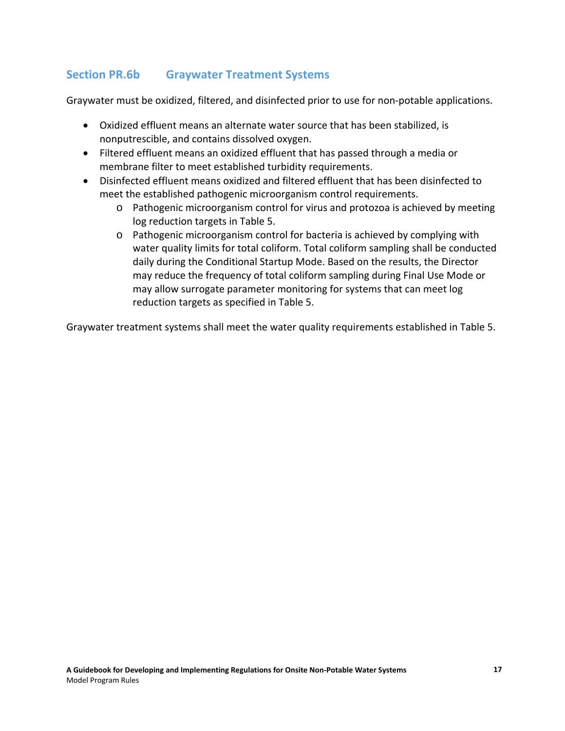## **Section PR.6b Graywater Treatment Systems**

Graywater must be oxidized, filtered, and disinfected prior to use for non-potable applications.

- Oxidized effluent means an alternate water source that has been stabilized, is nonputrescible, and contains dissolved oxygen.
- Filtered effluent means an oxidized effluent that has passed through a media or membrane filter to meet established turbidity requirements.
- Disinfected effluent means oxidized and filtered effluent that has been disinfected to meet the established pathogenic microorganism control requirements.
	- o Pathogenic microorganism control for virus and protozoa is achieved by meeting log reduction targets in Table 5.
	- o Pathogenic microorganism control for bacteria is achieved by complying with water quality limits for total coliform. Total coliform sampling shall be conducted daily during the Conditional Startup Mode. Based on the results, the Director may reduce the frequency of total coliform sampling during Final Use Mode or may allow surrogate parameter monitoring for systems that can meet log reduction targets as specified in Table 5.

Graywater treatment systems shall meet the water quality requirements established in Table 5.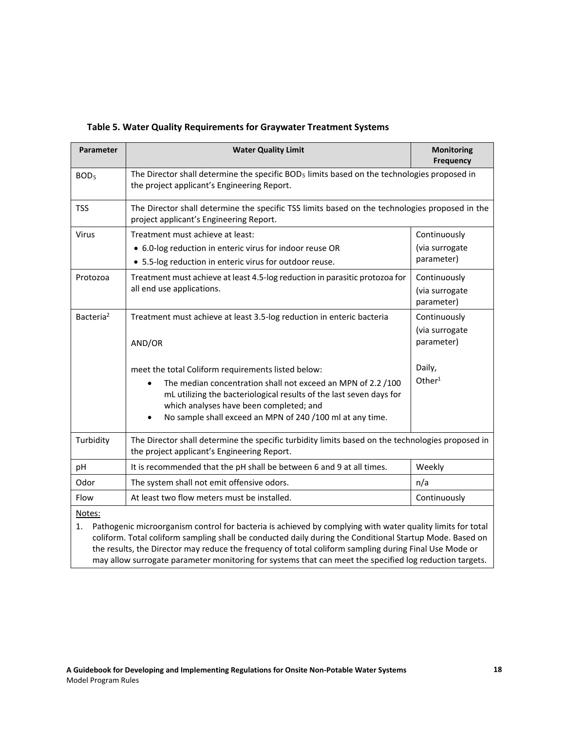| Parameter                                                                                                        | <b>Water Quality Limit</b>                                                                                                                                                                                                                                                                                     | <b>Monitoring</b><br><b>Frequency</b>        |
|------------------------------------------------------------------------------------------------------------------|----------------------------------------------------------------------------------------------------------------------------------------------------------------------------------------------------------------------------------------------------------------------------------------------------------------|----------------------------------------------|
| BOD <sub>5</sub>                                                                                                 | The Director shall determine the specific BOD <sub>5</sub> limits based on the technologies proposed in<br>the project applicant's Engineering Report.                                                                                                                                                         |                                              |
| <b>TSS</b>                                                                                                       | The Director shall determine the specific TSS limits based on the technologies proposed in the<br>project applicant's Engineering Report.                                                                                                                                                                      |                                              |
| Virus                                                                                                            | Treatment must achieve at least:                                                                                                                                                                                                                                                                               | Continuously                                 |
|                                                                                                                  | • 6.0-log reduction in enteric virus for indoor reuse OR<br>• 5.5-log reduction in enteric virus for outdoor reuse.                                                                                                                                                                                            | (via surrogate<br>parameter)                 |
| Protozoa                                                                                                         | Treatment must achieve at least 4.5-log reduction in parasitic protozoa for<br>all end use applications.                                                                                                                                                                                                       | Continuously<br>(via surrogate<br>parameter) |
| Bacteria <sup>2</sup>                                                                                            | Treatment must achieve at least 3.5-log reduction in enteric bacteria                                                                                                                                                                                                                                          | Continuously                                 |
|                                                                                                                  | AND/OR                                                                                                                                                                                                                                                                                                         | (via surrogate<br>parameter)                 |
|                                                                                                                  | meet the total Coliform requirements listed below:<br>The median concentration shall not exceed an MPN of 2.2 /100<br>mL utilizing the bacteriological results of the last seven days for<br>which analyses have been completed; and<br>No sample shall exceed an MPN of 240 /100 ml at any time.<br>$\bullet$ | Daily,<br>Other <sup>1</sup>                 |
| Turbidity                                                                                                        | The Director shall determine the specific turbidity limits based on the technologies proposed in<br>the project applicant's Engineering Report.                                                                                                                                                                |                                              |
| pH                                                                                                               | It is recommended that the pH shall be between 6 and 9 at all times.                                                                                                                                                                                                                                           | Weekly                                       |
| Odor                                                                                                             | The system shall not emit offensive odors.                                                                                                                                                                                                                                                                     | n/a                                          |
| Flow                                                                                                             | At least two flow meters must be installed.                                                                                                                                                                                                                                                                    | Continuously                                 |
| Notes:                                                                                                           |                                                                                                                                                                                                                                                                                                                |                                              |
| Pathogenic microorganism control for bacteria is achieved by complying with water quality limits for total<br>1. |                                                                                                                                                                                                                                                                                                                |                                              |

coliform. Total coliform sampling shall be conducted daily during the Conditional Startup Mode. Based on the results, the Director may reduce the frequency of total coliform sampling during Final Use Mode or may allow surrogate parameter monitoring for systems that can meet the specified log reduction targets.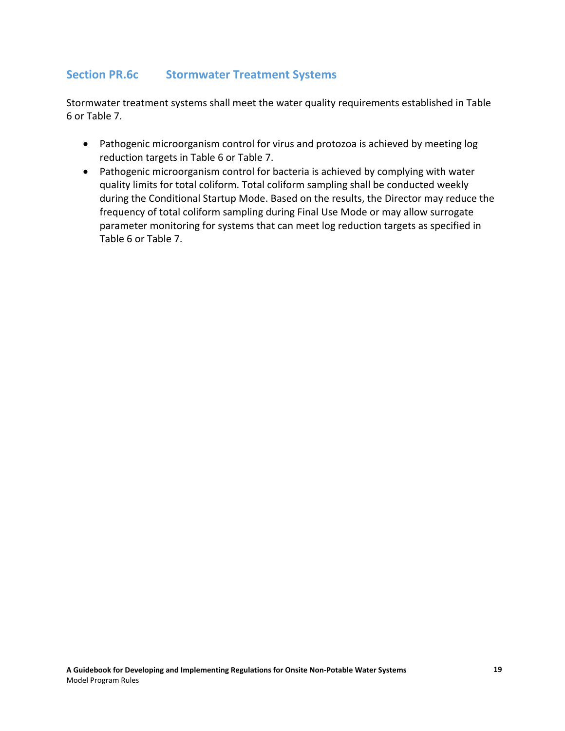## **Section PR.6c Stormwater Treatment Systems**

Stormwater treatment systems shall meet the water quality requirements established in Table 6 or Table 7.

- Pathogenic microorganism control for virus and protozoa is achieved by meeting log reduction targets in Table 6 or Table 7.
- Pathogenic microorganism control for bacteria is achieved by complying with water quality limits for total coliform. Total coliform sampling shall be conducted weekly during the Conditional Startup Mode. Based on the results, the Director may reduce the frequency of total coliform sampling during Final Use Mode or may allow surrogate parameter monitoring for systems that can meet log reduction targets as specified in Table 6 or Table 7.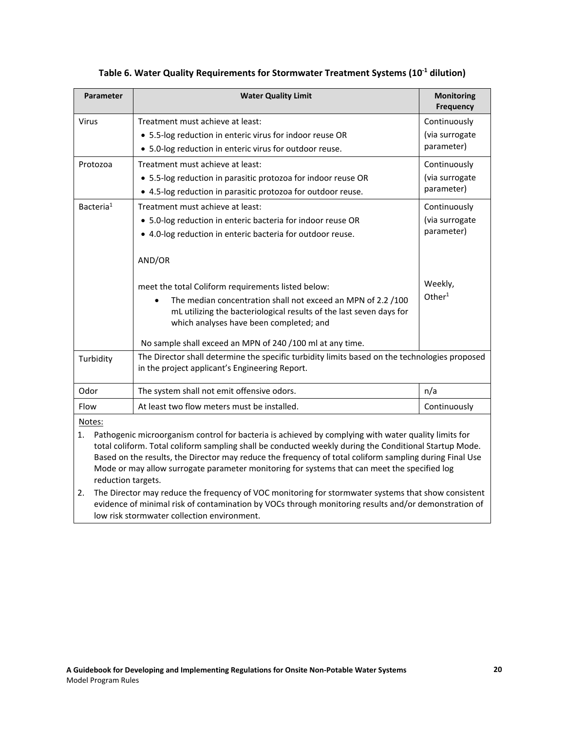| Parameter                                                                                                                                                                                                                                                                                                                                                                                                                                                       | <b>Water Quality Limit</b>                                                                                                                                                                                                                                                                                                                                                                                                                                     | <b>Monitoring</b><br><b>Frequency</b> |
|-----------------------------------------------------------------------------------------------------------------------------------------------------------------------------------------------------------------------------------------------------------------------------------------------------------------------------------------------------------------------------------------------------------------------------------------------------------------|----------------------------------------------------------------------------------------------------------------------------------------------------------------------------------------------------------------------------------------------------------------------------------------------------------------------------------------------------------------------------------------------------------------------------------------------------------------|---------------------------------------|
| Virus                                                                                                                                                                                                                                                                                                                                                                                                                                                           | Treatment must achieve at least:                                                                                                                                                                                                                                                                                                                                                                                                                               | Continuously                          |
|                                                                                                                                                                                                                                                                                                                                                                                                                                                                 | • 5.5-log reduction in enteric virus for indoor reuse OR                                                                                                                                                                                                                                                                                                                                                                                                       | (via surrogate                        |
|                                                                                                                                                                                                                                                                                                                                                                                                                                                                 | • 5.0-log reduction in enteric virus for outdoor reuse.                                                                                                                                                                                                                                                                                                                                                                                                        | parameter)                            |
| Protozoa                                                                                                                                                                                                                                                                                                                                                                                                                                                        | Treatment must achieve at least:                                                                                                                                                                                                                                                                                                                                                                                                                               | Continuously                          |
|                                                                                                                                                                                                                                                                                                                                                                                                                                                                 | • 5.5-log reduction in parasitic protozoa for indoor reuse OR                                                                                                                                                                                                                                                                                                                                                                                                  | (via surrogate                        |
|                                                                                                                                                                                                                                                                                                                                                                                                                                                                 | • 4.5-log reduction in parasitic protozoa for outdoor reuse.                                                                                                                                                                                                                                                                                                                                                                                                   | parameter)                            |
| Bacteria <sup>1</sup>                                                                                                                                                                                                                                                                                                                                                                                                                                           | Treatment must achieve at least:                                                                                                                                                                                                                                                                                                                                                                                                                               | Continuously                          |
|                                                                                                                                                                                                                                                                                                                                                                                                                                                                 | • 5.0-log reduction in enteric bacteria for indoor reuse OR                                                                                                                                                                                                                                                                                                                                                                                                    | (via surrogate                        |
|                                                                                                                                                                                                                                                                                                                                                                                                                                                                 | • 4.0-log reduction in enteric bacteria for outdoor reuse.                                                                                                                                                                                                                                                                                                                                                                                                     | parameter)                            |
| Turbidity                                                                                                                                                                                                                                                                                                                                                                                                                                                       | AND/OR<br>meet the total Coliform requirements listed below:<br>The median concentration shall not exceed an MPN of 2.2 /100<br>mL utilizing the bacteriological results of the last seven days for<br>which analyses have been completed; and<br>No sample shall exceed an MPN of 240 /100 ml at any time.<br>The Director shall determine the specific turbidity limits based on the technologies proposed<br>in the project applicant's Engineering Report. | Weekly,<br>Other <sup>1</sup>         |
| Odor                                                                                                                                                                                                                                                                                                                                                                                                                                                            | The system shall not emit offensive odors.                                                                                                                                                                                                                                                                                                                                                                                                                     | n/a                                   |
| Flow                                                                                                                                                                                                                                                                                                                                                                                                                                                            | At least two flow meters must be installed.                                                                                                                                                                                                                                                                                                                                                                                                                    | Continuously                          |
| Notes:<br>Pathogenic microorganism control for bacteria is achieved by complying with water quality limits for<br>1.<br>total coliform. Total coliform sampling shall be conducted weekly during the Conditional Startup Mode.<br>Based on the results, the Director may reduce the frequency of total coliform sampling during Final Use<br>Mode or may allow surrogate parameter monitoring for systems that can meet the specified log<br>reduction targets. |                                                                                                                                                                                                                                                                                                                                                                                                                                                                |                                       |

### **Table 6. Water Quality Requirements for Stormwater Treatment Systems (10-1 dilution)**

2. The Director may reduce the frequency of VOC monitoring for stormwater systems that show consistent evidence of minimal risk of contamination by VOCs through monitoring results and/or demonstration of low risk stormwater collection environment.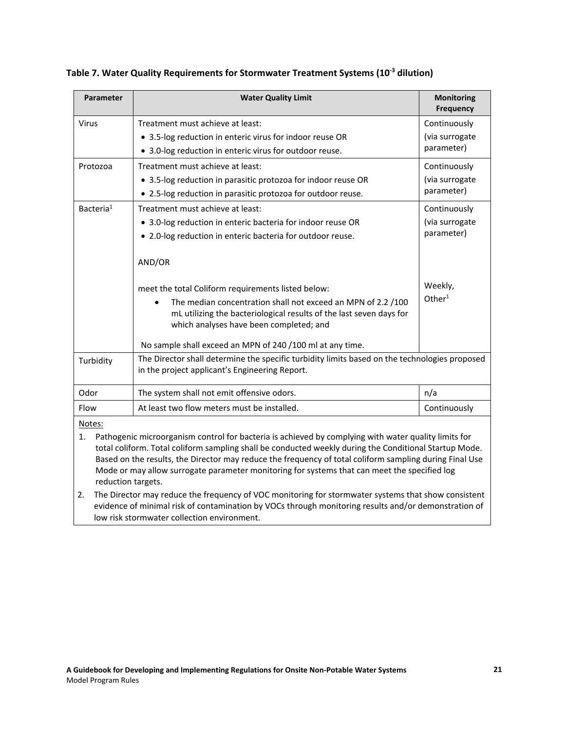| <b>Parameter</b>                                                                                                                                                                                                                                                                                 | <b>Water Quality Limit</b>                                                                                                                                                                                                                                                                                                                                                                                                                                                                                                       | <b>Monitoring</b><br><b>Frequency</b> |
|--------------------------------------------------------------------------------------------------------------------------------------------------------------------------------------------------------------------------------------------------------------------------------------------------|----------------------------------------------------------------------------------------------------------------------------------------------------------------------------------------------------------------------------------------------------------------------------------------------------------------------------------------------------------------------------------------------------------------------------------------------------------------------------------------------------------------------------------|---------------------------------------|
| <b>Virus</b>                                                                                                                                                                                                                                                                                     | Treatment must achieve at least:                                                                                                                                                                                                                                                                                                                                                                                                                                                                                                 | Continuously                          |
|                                                                                                                                                                                                                                                                                                  | • 3.5-log reduction in enteric virus for indoor reuse OR                                                                                                                                                                                                                                                                                                                                                                                                                                                                         | (via surrogate                        |
|                                                                                                                                                                                                                                                                                                  | • 3.0-log reduction in enteric virus for outdoor reuse.                                                                                                                                                                                                                                                                                                                                                                                                                                                                          | parameter)                            |
| Protozoa                                                                                                                                                                                                                                                                                         | Treatment must achieve at least:                                                                                                                                                                                                                                                                                                                                                                                                                                                                                                 | Continuously                          |
|                                                                                                                                                                                                                                                                                                  | • 3.5-log reduction in parasitic protozoa for indoor reuse OR                                                                                                                                                                                                                                                                                                                                                                                                                                                                    | (via surrogate                        |
|                                                                                                                                                                                                                                                                                                  | • 2.5-log reduction in parasitic protozoa for outdoor reuse.                                                                                                                                                                                                                                                                                                                                                                                                                                                                     | parameter)                            |
| Bacteria <sup>1</sup>                                                                                                                                                                                                                                                                            | Treatment must achieve at least:                                                                                                                                                                                                                                                                                                                                                                                                                                                                                                 | Continuously                          |
|                                                                                                                                                                                                                                                                                                  | • 3.0-log reduction in enteric bacteria for indoor reuse OR                                                                                                                                                                                                                                                                                                                                                                                                                                                                      | (via surrogate                        |
|                                                                                                                                                                                                                                                                                                  | • 2.0-log reduction in enteric bacteria for outdoor reuse.                                                                                                                                                                                                                                                                                                                                                                                                                                                                       | parameter)                            |
|                                                                                                                                                                                                                                                                                                  | AND/OR                                                                                                                                                                                                                                                                                                                                                                                                                                                                                                                           |                                       |
|                                                                                                                                                                                                                                                                                                  | meet the total Coliform requirements listed below:                                                                                                                                                                                                                                                                                                                                                                                                                                                                               | Weekly,                               |
|                                                                                                                                                                                                                                                                                                  | The median concentration shall not exceed an MPN of 2.2 /100<br>mL utilizing the bacteriological results of the last seven days for<br>which analyses have been completed; and                                                                                                                                                                                                                                                                                                                                                   | Other <sup>1</sup>                    |
|                                                                                                                                                                                                                                                                                                  | No sample shall exceed an MPN of 240 /100 ml at any time.                                                                                                                                                                                                                                                                                                                                                                                                                                                                        |                                       |
| Turbidity                                                                                                                                                                                                                                                                                        | The Director shall determine the specific turbidity limits based on the technologies proposed<br>in the project applicant's Engineering Report.                                                                                                                                                                                                                                                                                                                                                                                  |                                       |
| Odor                                                                                                                                                                                                                                                                                             | The system shall not emit offensive odors.                                                                                                                                                                                                                                                                                                                                                                                                                                                                                       | n/a                                   |
| Flow                                                                                                                                                                                                                                                                                             | At least two flow meters must be installed.                                                                                                                                                                                                                                                                                                                                                                                                                                                                                      | Continuously                          |
| Notes:<br>1.<br>reduction targets.<br>2.                                                                                                                                                                                                                                                         | Pathogenic microorganism control for bacteria is achieved by complying with water quality limits for<br>total coliform. Total coliform sampling shall be conducted weekly during the Conditional Startup Mode.<br>Based on the results, the Director may reduce the frequency of total coliform sampling during Final Use<br>Mode or may allow surrogate parameter monitoring for systems that can meet the specified log<br>The Director may reduce the frequency of VOC monitoring for stormwater systems that show consistent |                                       |
| $\mathbf{r}$ and $\mathbf{r}$ are $\mathbf{r}$ and $\mathbf{r}$ are $\mathbf{r}$ and $\mathbf{r}$ and $\mathbf{r}$ are $\mathbf{r}$ and $\mathbf{r}$ are $\mathbf{r}$ and $\mathbf{r}$ are $\mathbf{r}$ and $\mathbf{r}$ are $\mathbf{r}$ and $\mathbf{r}$ are $\mathbf{r}$ and $\mathbf{r}$ are |                                                                                                                                                                                                                                                                                                                                                                                                                                                                                                                                  |                                       |

**Table 7. Water Quality Requirements for Stormwater Treatment Systems (10-3 dilution)**

evidence of minimal risk of contamination by VOCs through monitoring results and/or demonstration of low risk stormwater collection environment.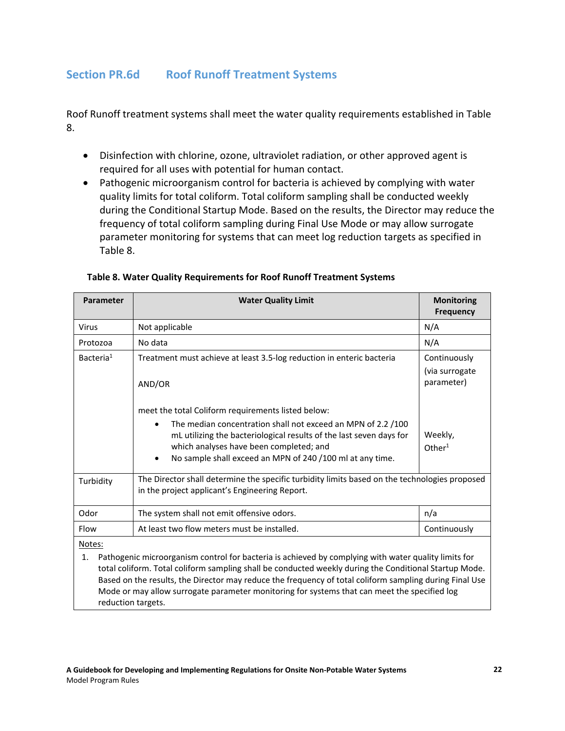## **Section PR.6d Roof Runoff Treatment Systems**

Roof Runoff treatment systems shall meet the water quality requirements established in Table 8.

- Disinfection with chlorine, ozone, ultraviolet radiation, or other approved agent is required for all uses with potential for human contact.
- Pathogenic microorganism control for bacteria is achieved by complying with water quality limits for total coliform. Total coliform sampling shall be conducted weekly during the Conditional Startup Mode. Based on the results, the Director may reduce the frequency of total coliform sampling during Final Use Mode or may allow surrogate parameter monitoring for systems that can meet log reduction targets as specified in Table 8.

| <b>Parameter</b>                                                                                                                                                                                                                                                                                                                          | <b>Water Quality Limit</b>                                                                                                                                                                                                                                                                                    | <b>Monitoring</b><br><b>Frequency</b>        |
|-------------------------------------------------------------------------------------------------------------------------------------------------------------------------------------------------------------------------------------------------------------------------------------------------------------------------------------------|---------------------------------------------------------------------------------------------------------------------------------------------------------------------------------------------------------------------------------------------------------------------------------------------------------------|----------------------------------------------|
| Virus                                                                                                                                                                                                                                                                                                                                     | Not applicable                                                                                                                                                                                                                                                                                                | N/A                                          |
| Protozoa                                                                                                                                                                                                                                                                                                                                  | No data                                                                                                                                                                                                                                                                                                       | N/A                                          |
| Bacteria <sup>1</sup>                                                                                                                                                                                                                                                                                                                     | Treatment must achieve at least 3.5-log reduction in enteric bacteria<br>AND/OR                                                                                                                                                                                                                               | Continuously<br>(via surrogate<br>parameter) |
|                                                                                                                                                                                                                                                                                                                                           | meet the total Coliform requirements listed below:<br>The median concentration shall not exceed an MPN of 2.2/100<br>mL utilizing the bacteriological results of the last seven days for<br>which analyses have been completed; and<br>No sample shall exceed an MPN of 240 /100 ml at any time.<br>$\bullet$ | Weekly,<br>Other <sup>1</sup>                |
| Turbidity                                                                                                                                                                                                                                                                                                                                 | The Director shall determine the specific turbidity limits based on the technologies proposed<br>in the project applicant's Engineering Report.                                                                                                                                                               |                                              |
| Odor                                                                                                                                                                                                                                                                                                                                      | The system shall not emit offensive odors.<br>n/a                                                                                                                                                                                                                                                             |                                              |
| Flow                                                                                                                                                                                                                                                                                                                                      | At least two flow meters must be installed.<br>Continuously                                                                                                                                                                                                                                                   |                                              |
| Notes:<br>Pathogenic microorganism control for bacteria is achieved by complying with water quality limits for<br>1.<br>total coliform. Total coliform sampling shall be conducted weekly during the Conditional Startup Mode.<br>Based on the results, the Director may reduce the frequency of total coliform sampling during Final Use |                                                                                                                                                                                                                                                                                                               |                                              |

Mode or may allow surrogate parameter monitoring for systems that can meet the specified log

#### **Table 8. Water Quality Requirements for Roof Runoff Treatment Systems**

reduction targets.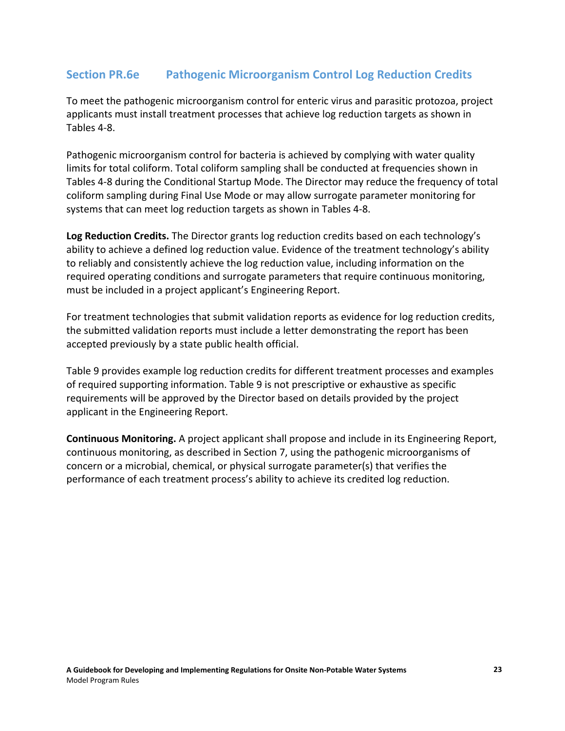## **Section PR.6e Pathogenic Microorganism Control Log Reduction Credits**

To meet the pathogenic microorganism control for enteric virus and parasitic protozoa, project applicants must install treatment processes that achieve log reduction targets as shown in Tables 4-8.

Pathogenic microorganism control for bacteria is achieved by complying with water quality limits for total coliform. Total coliform sampling shall be conducted at frequencies shown in Tables 4-8 during the Conditional Startup Mode. The Director may reduce the frequency of total coliform sampling during Final Use Mode or may allow surrogate parameter monitoring for systems that can meet log reduction targets as shown in Tables 4-8.

**Log Reduction Credits.** The Director grants log reduction credits based on each technology's ability to achieve a defined log reduction value. Evidence of the treatment technology's ability to reliably and consistently achieve the log reduction value, including information on the required operating conditions and surrogate parameters that require continuous monitoring, must be included in a project applicant's Engineering Report.

For treatment technologies that submit validation reports as evidence for log reduction credits, the submitted validation reports must include a letter demonstrating the report has been accepted previously by a state public health official.

Table 9 provides example log reduction credits for different treatment processes and examples of required supporting information. Table 9 is not prescriptive or exhaustive as specific requirements will be approved by the Director based on details provided by the project applicant in the Engineering Report.

**Continuous Monitoring.** A project applicant shall propose and include in its Engineering Report, continuous monitoring, as described in Section 7, using the pathogenic microorganisms of concern or a microbial, chemical, or physical surrogate parameter(s) that verifies the performance of each treatment process's ability to achieve its credited log reduction.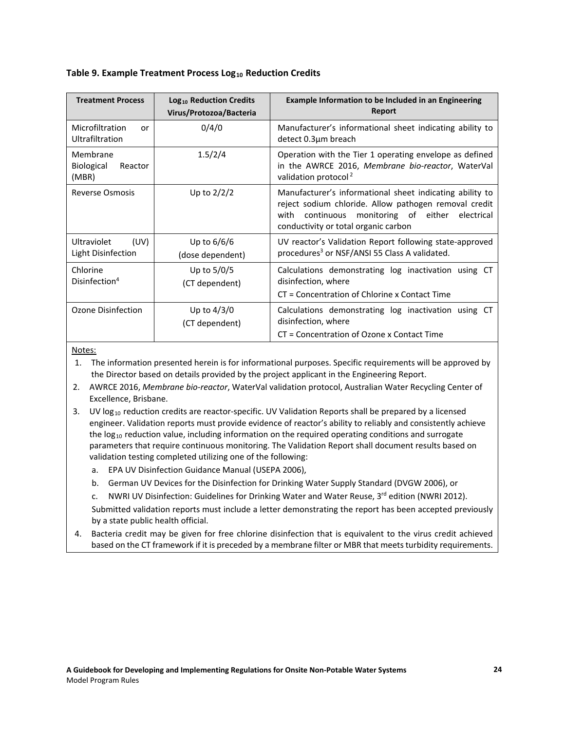#### **Table 9. Example Treatment Process Log<sub>10</sub> Reduction Credits**

| <b>Treatment Process</b>                          | Log <sub>10</sub> Reduction Credits<br>Virus/Protozoa/Bacteria | Example Information to be Included in an Engineering<br><b>Report</b>                                                                                                                                           |
|---------------------------------------------------|----------------------------------------------------------------|-----------------------------------------------------------------------------------------------------------------------------------------------------------------------------------------------------------------|
| Microfiltration<br>or<br>Ultrafiltration          | 0/4/0                                                          | Manufacturer's informational sheet indicating ability to<br>detect 0.3µm breach                                                                                                                                 |
| Membrane<br><b>Biological</b><br>Reactor<br>(MBR) | 1.5/2/4                                                        | Operation with the Tier 1 operating envelope as defined<br>in the AWRCE 2016, Membrane bio-reactor, WaterVal<br>validation protocol <sup>2</sup>                                                                |
| <b>Reverse Osmosis</b>                            | Up to $2/2/2$                                                  | Manufacturer's informational sheet indicating ability to<br>reject sodium chloride. Allow pathogen removal credit<br>continuous monitoring of either electrical<br>with<br>conductivity or total organic carbon |
| (UV)<br><b>Ultraviolet</b><br>Light Disinfection  | Up to 6/6/6<br>(dose dependent)                                | UV reactor's Validation Report following state-approved<br>procedures <sup>3</sup> or NSF/ANSI 55 Class A validated.                                                                                            |
| Chlorine<br>Disinfection <sup>4</sup>             | Up to $5/0/5$<br>(CT dependent)                                | Calculations demonstrating log inactivation using CT<br>disinfection, where<br>CT = Concentration of Chlorine x Contact Time                                                                                    |
| Ozone Disinfection                                | Up to $4/3/0$<br>(CT dependent)                                | Calculations demonstrating log inactivation using CT<br>disinfection, where<br>CT = Concentration of Ozone x Contact Time                                                                                       |

Notes:

- 1. The information presented herein is for informational purposes. Specific requirements will be approved by the Director based on details provided by the project applicant in the Engineering Report.
- 2. AWRCE 2016, *Membrane bio-reactor*, WaterVal validation protocol, Australian Water Recycling Center of Excellence, Brisbane.
- 3. UV log<sub>10</sub> reduction credits are reactor-specific. UV Validation Reports shall be prepared by a licensed engineer. Validation reports must provide evidence of reactor's ability to reliably and consistently achieve the log<sub>10</sub> reduction value, including information on the required operating conditions and surrogate parameters that require continuous monitoring. The Validation Report shall document results based on validation testing completed utilizing one of the following:
	- a. EPA UV Disinfection Guidance Manual (USEPA 2006),
	- b. German UV Devices for the Disinfection for Drinking Water Supply Standard (DVGW 2006), or
	- c. NWRI UV Disinfection: Guidelines for Drinking Water and Water Reuse, 3rd edition (NWRI 2012).

Submitted validation reports must include a letter demonstrating the report has been accepted previously by a state public health official.

4. Bacteria credit may be given for free chlorine disinfection that is equivalent to the virus credit achieved based on the CT framework if it is preceded by a membrane filter or MBR that meets turbidity requirements.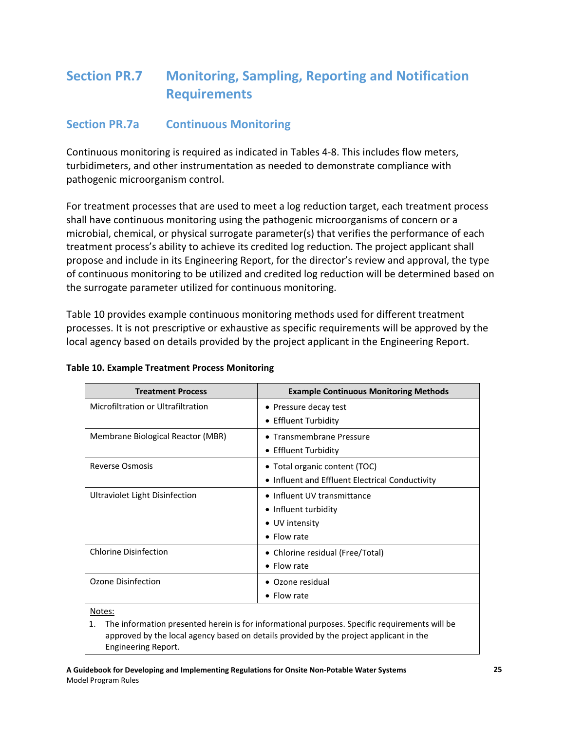# **Section PR.7 Monitoring, Sampling, Reporting and Notification Requirements**

### **Section PR.7a Continuous Monitoring**

Continuous monitoring is required as indicated in Tables 4-8. This includes flow meters, turbidimeters, and other instrumentation as needed to demonstrate compliance with pathogenic microorganism control.

For treatment processes that are used to meet a log reduction target, each treatment process shall have continuous monitoring using the pathogenic microorganisms of concern or a microbial, chemical, or physical surrogate parameter(s) that verifies the performance of each treatment process's ability to achieve its credited log reduction. The project applicant shall propose and include in its Engineering Report, for the director's review and approval, the type of continuous monitoring to be utilized and credited log reduction will be determined based on the surrogate parameter utilized for continuous monitoring.

Table 10 provides example continuous monitoring methods used for different treatment processes. It is not prescriptive or exhaustive as specific requirements will be approved by the local agency based on details provided by the project applicant in the Engineering Report.

| <b>Treatment Process</b>           | <b>Example Continuous Monitoring Methods</b>    |
|------------------------------------|-------------------------------------------------|
| Microfiltration or Ultrafiltration | • Pressure decay test                           |
|                                    | • Effluent Turbidity                            |
| Membrane Biological Reactor (MBR)  | • Transmembrane Pressure                        |
|                                    | • Effluent Turbidity                            |
| <b>Reverse Osmosis</b>             | • Total organic content (TOC)                   |
|                                    | • Influent and Effluent Electrical Conductivity |
| Ultraviolet Light Disinfection     | • Influent UV transmittance                     |
|                                    | • Influent turbidity                            |
|                                    | • UV intensity                                  |
|                                    | $\bullet$ Flow rate                             |
| <b>Chlorine Disinfection</b>       | • Chlorine residual (Free/Total)                |
|                                    | $\bullet$ Flow rate                             |
| Ozone Disinfection                 | • Ozone residual                                |
|                                    | $\bullet$ Flow rate                             |
| Notes:                             |                                                 |

#### **Table 10. Example Treatment Process Monitoring**

Notes:

1. The information presented herein is for informational purposes. Specific requirements will be approved by the local agency based on details provided by the project applicant in the Engineering Report.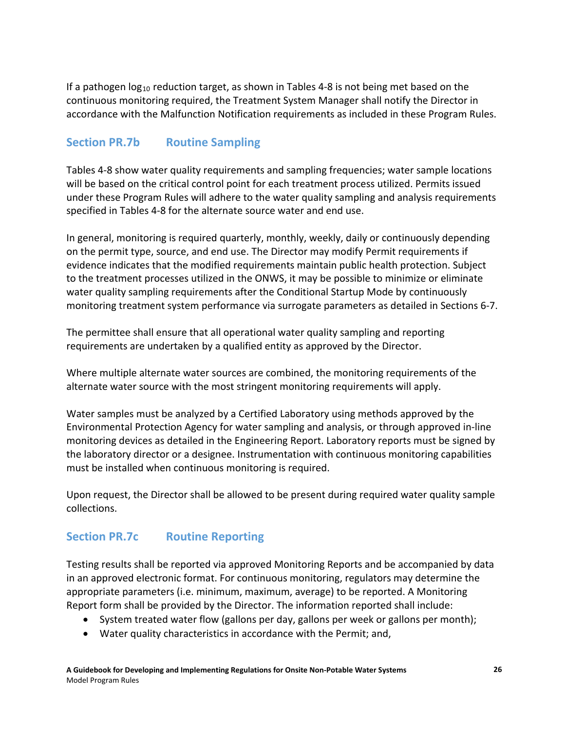If a pathogen  $log_{10}$  reduction target, as shown in Tables 4-8 is not being met based on the continuous monitoring required, the Treatment System Manager shall notify the Director in accordance with the Malfunction Notification requirements as included in these Program Rules.

### **Section PR.7b Routine Sampling**

Tables 4-8 show water quality requirements and sampling frequencies; water sample locations will be based on the critical control point for each treatment process utilized. Permits issued under these Program Rules will adhere to the water quality sampling and analysis requirements specified in Tables 4-8 for the alternate source water and end use.

In general, monitoring is required quarterly, monthly, weekly, daily or continuously depending on the permit type, source, and end use. The Director may modify Permit requirements if evidence indicates that the modified requirements maintain public health protection. Subject to the treatment processes utilized in the ONWS, it may be possible to minimize or eliminate water quality sampling requirements after the Conditional Startup Mode by continuously monitoring treatment system performance via surrogate parameters as detailed in Sections 6-7.

The permittee shall ensure that all operational water quality sampling and reporting requirements are undertaken by a qualified entity as approved by the Director.

Where multiple alternate water sources are combined, the monitoring requirements of the alternate water source with the most stringent monitoring requirements will apply.

Water samples must be analyzed by a Certified Laboratory using methods approved by the Environmental Protection Agency for water sampling and analysis, or through approved in-line monitoring devices as detailed in the Engineering Report. Laboratory reports must be signed by the laboratory director or a designee. Instrumentation with continuous monitoring capabilities must be installed when continuous monitoring is required.

Upon request, the Director shall be allowed to be present during required water quality sample collections.

### **Section PR.7c Routine Reporting**

Testing results shall be reported via approved Monitoring Reports and be accompanied by data in an approved electronic format. For continuous monitoring, regulators may determine the appropriate parameters (i.e. minimum, maximum, average) to be reported. A Monitoring Report form shall be provided by the Director. The information reported shall include:

- System treated water flow (gallons per day, gallons per week or gallons per month);
- Water quality characteristics in accordance with the Permit; and,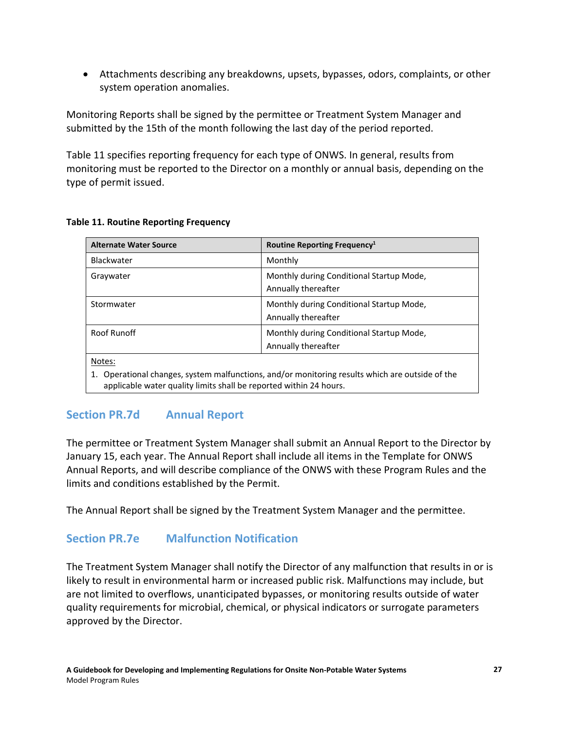• Attachments describing any breakdowns, upsets, bypasses, odors, complaints, or other system operation anomalies.

Monitoring Reports shall be signed by the permittee or Treatment System Manager and submitted by the 15th of the month following the last day of the period reported.

Table 11 specifies reporting frequency for each type of ONWS. In general, results from monitoring must be reported to the Director on a monthly or annual basis, depending on the type of permit issued.

| <b>Alternate Water Source</b>                                                                                                                                      |                                          |
|--------------------------------------------------------------------------------------------------------------------------------------------------------------------|------------------------------------------|
|                                                                                                                                                                    | Routine Reporting Frequency <sup>1</sup> |
| Blackwater                                                                                                                                                         | Monthly                                  |
| Graywater                                                                                                                                                          | Monthly during Conditional Startup Mode, |
|                                                                                                                                                                    | Annually thereafter                      |
| Stormwater                                                                                                                                                         | Monthly during Conditional Startup Mode, |
|                                                                                                                                                                    | Annually thereafter                      |
| Roof Runoff                                                                                                                                                        | Monthly during Conditional Startup Mode, |
|                                                                                                                                                                    | Annually thereafter                      |
| Notes:                                                                                                                                                             |                                          |
| Operational changes, system malfunctions, and/or monitoring results which are outside of the<br>applicable water quality limits shall be reported within 24 hours. |                                          |

#### **Table 11. Routine Reporting Frequency**

### **Section PR.7d Annual Report**

The permittee or Treatment System Manager shall submit an Annual Report to the Director by January 15, each year. The Annual Report shall include all items in the Template for ONWS Annual Reports, and will describe compliance of the ONWS with these Program Rules and the limits and conditions established by the Permit.

The Annual Report shall be signed by the Treatment System Manager and the permittee.

### **Section PR.7e Malfunction Notification**

The Treatment System Manager shall notify the Director of any malfunction that results in or is likely to result in environmental harm or increased public risk. Malfunctions may include, but are not limited to overflows, unanticipated bypasses, or monitoring results outside of water quality requirements for microbial, chemical, or physical indicators or surrogate parameters approved by the Director.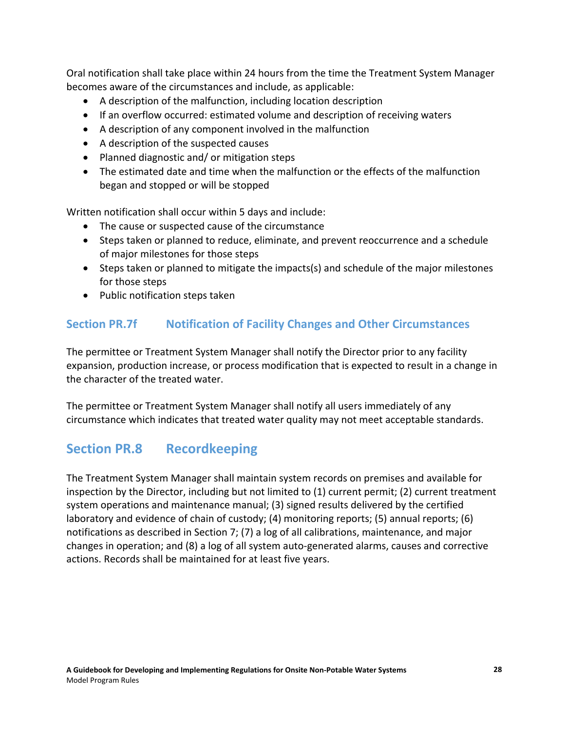Oral notification shall take place within 24 hours from the time the Treatment System Manager becomes aware of the circumstances and include, as applicable:

- A description of the malfunction, including location description
- If an overflow occurred: estimated volume and description of receiving waters
- A description of any component involved in the malfunction
- A description of the suspected causes
- Planned diagnostic and/ or mitigation steps
- The estimated date and time when the malfunction or the effects of the malfunction began and stopped or will be stopped

Written notification shall occur within 5 days and include:

- The cause or suspected cause of the circumstance
- Steps taken or planned to reduce, eliminate, and prevent reoccurrence and a schedule of major milestones for those steps
- Steps taken or planned to mitigate the impacts(s) and schedule of the major milestones for those steps
- Public notification steps taken

## **Section PR.7f Notification of Facility Changes and Other Circumstances**

The permittee or Treatment System Manager shall notify the Director prior to any facility expansion, production increase, or process modification that is expected to result in a change in the character of the treated water.

The permittee or Treatment System Manager shall notify all users immediately of any circumstance which indicates that treated water quality may not meet acceptable standards.

# **Section PR.8 Recordkeeping**

The Treatment System Manager shall maintain system records on premises and available for inspection by the Director, including but not limited to (1) current permit; (2) current treatment system operations and maintenance manual; (3) signed results delivered by the certified laboratory and evidence of chain of custody; (4) monitoring reports; (5) annual reports; (6) notifications as described in Section 7; (7) a log of all calibrations, maintenance, and major changes in operation; and (8) a log of all system auto-generated alarms, causes and corrective actions. Records shall be maintained for at least five years.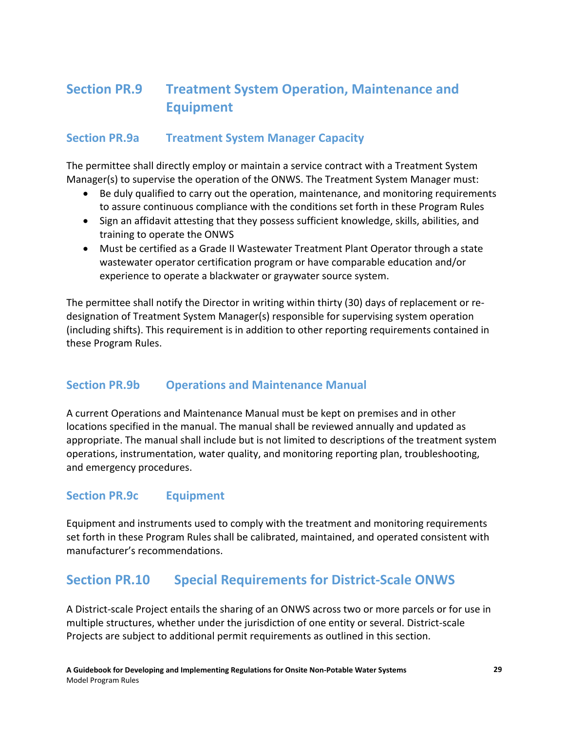# **Section PR.9 Treatment System Operation, Maintenance and Equipment**

### **Section PR.9a Treatment System Manager Capacity**

The permittee shall directly employ or maintain a service contract with a Treatment System Manager(s) to supervise the operation of the ONWS. The Treatment System Manager must:

- Be duly qualified to carry out the operation, maintenance, and monitoring requirements to assure continuous compliance with the conditions set forth in these Program Rules
- Sign an affidavit attesting that they possess sufficient knowledge, skills, abilities, and training to operate the ONWS
- Must be certified as a Grade II Wastewater Treatment Plant Operator through a state wastewater operator certification program or have comparable education and/or experience to operate a blackwater or graywater source system.

The permittee shall notify the Director in writing within thirty (30) days of replacement or redesignation of Treatment System Manager(s) responsible for supervising system operation (including shifts). This requirement is in addition to other reporting requirements contained in these Program Rules.

### **Section PR.9b Operations and Maintenance Manual**

A current Operations and Maintenance Manual must be kept on premises and in other locations specified in the manual. The manual shall be reviewed annually and updated as appropriate. The manual shall include but is not limited to descriptions of the treatment system operations, instrumentation, water quality, and monitoring reporting plan, troubleshooting, and emergency procedures.

### **Section PR.9c Equipment**

Equipment and instruments used to comply with the treatment and monitoring requirements set forth in these Program Rules shall be calibrated, maintained, and operated consistent with manufacturer's recommendations.

## **Section PR.10 Special Requirements for District-Scale ONWS**

A District-scale Project entails the sharing of an ONWS across two or more parcels or for use in multiple structures, whether under the jurisdiction of one entity or several. District-scale Projects are subject to additional permit requirements as outlined in this section.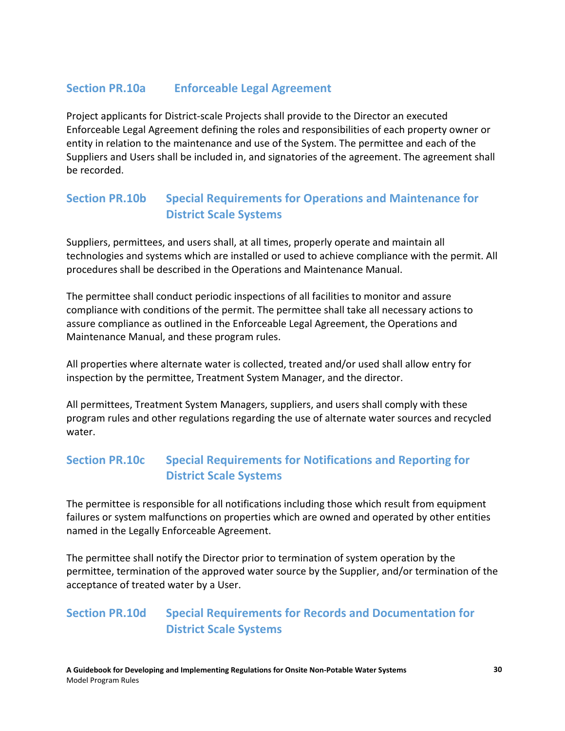### **Section PR.10a Enforceable Legal Agreement**

Project applicants for District-scale Projects shall provide to the Director an executed Enforceable Legal Agreement defining the roles and responsibilities of each property owner or entity in relation to the maintenance and use of the System. The permittee and each of the Suppliers and Users shall be included in, and signatories of the agreement. The agreement shall be recorded.

## **Section PR.10b Special Requirements for Operations and Maintenance for District Scale Systems**

Suppliers, permittees, and users shall, at all times, properly operate and maintain all technologies and systems which are installed or used to achieve compliance with the permit. All procedures shall be described in the Operations and Maintenance Manual.

The permittee shall conduct periodic inspections of all facilities to monitor and assure compliance with conditions of the permit. The permittee shall take all necessary actions to assure compliance as outlined in the Enforceable Legal Agreement, the Operations and Maintenance Manual, and these program rules.

All properties where alternate water is collected, treated and/or used shall allow entry for inspection by the permittee, Treatment System Manager, and the director.

All permittees, Treatment System Managers, suppliers, and users shall comply with these program rules and other regulations regarding the use of alternate water sources and recycled water.

## **Section PR.10c Special Requirements for Notifications and Reporting for District Scale Systems**

The permittee is responsible for all notifications including those which result from equipment failures or system malfunctions on properties which are owned and operated by other entities named in the Legally Enforceable Agreement.

The permittee shall notify the Director prior to termination of system operation by the permittee, termination of the approved water source by the Supplier, and/or termination of the acceptance of treated water by a User.

## **Section PR.10d Special Requirements for Records and Documentation for District Scale Systems**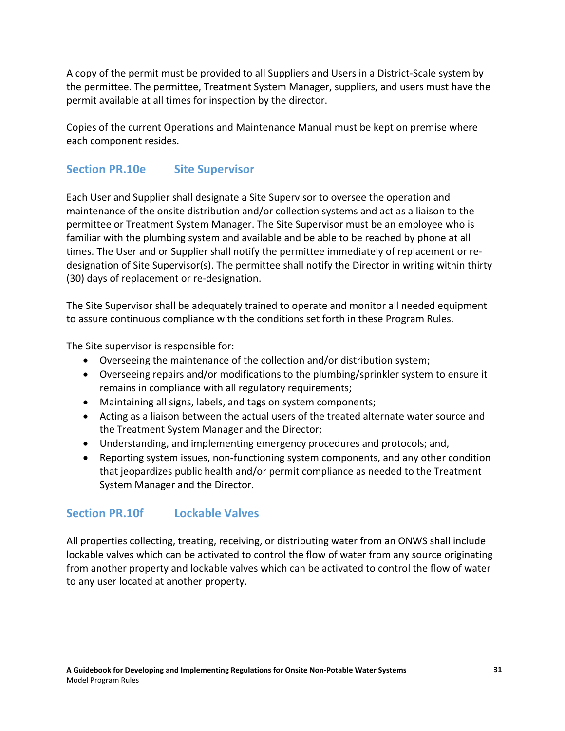A copy of the permit must be provided to all Suppliers and Users in a District-Scale system by the permittee. The permittee, Treatment System Manager, suppliers, and users must have the permit available at all times for inspection by the director.

Copies of the current Operations and Maintenance Manual must be kept on premise where each component resides.

## **Section PR.10e Site Supervisor**

Each User and Supplier shall designate a Site Supervisor to oversee the operation and maintenance of the onsite distribution and/or collection systems and act as a liaison to the permittee or Treatment System Manager. The Site Supervisor must be an employee who is familiar with the plumbing system and available and be able to be reached by phone at all times. The User and or Supplier shall notify the permittee immediately of replacement or redesignation of Site Supervisor(s). The permittee shall notify the Director in writing within thirty (30) days of replacement or re-designation.

The Site Supervisor shall be adequately trained to operate and monitor all needed equipment to assure continuous compliance with the conditions set forth in these Program Rules.

The Site supervisor is responsible for:

- Overseeing the maintenance of the collection and/or distribution system;
- Overseeing repairs and/or modifications to the plumbing/sprinkler system to ensure it remains in compliance with all regulatory requirements;
- Maintaining all signs, labels, and tags on system components;
- Acting as a liaison between the actual users of the treated alternate water source and the Treatment System Manager and the Director;
- Understanding, and implementing emergency procedures and protocols; and,
- Reporting system issues, non-functioning system components, and any other condition that jeopardizes public health and/or permit compliance as needed to the Treatment System Manager and the Director.

### **Section PR.10f Lockable Valves**

All properties collecting, treating, receiving, or distributing water from an ONWS shall include lockable valves which can be activated to control the flow of water from any source originating from another property and lockable valves which can be activated to control the flow of water to any user located at another property.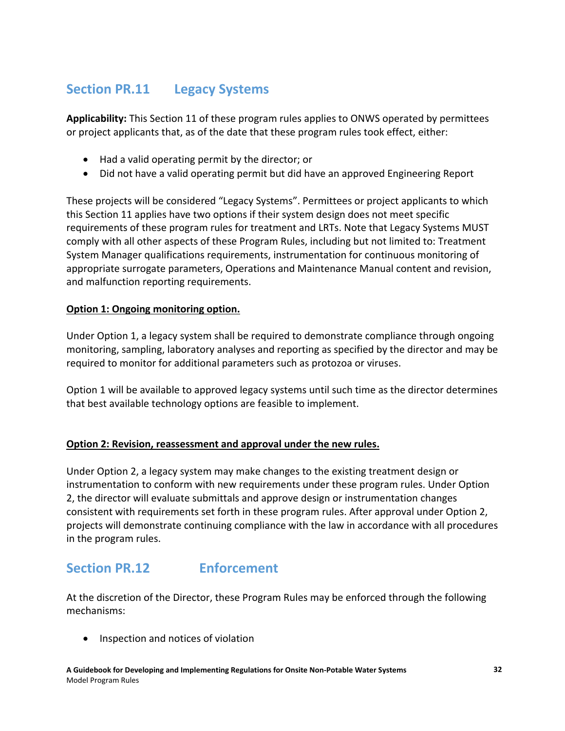# **Section PR.11 Legacy Systems**

**Applicability:** This Section 11 of these program rules applies to ONWS operated by permittees or project applicants that, as of the date that these program rules took effect, either:

- Had a valid operating permit by the director; or
- Did not have a valid operating permit but did have an approved Engineering Report

These projects will be considered "Legacy Systems". Permittees or project applicants to which this Section 11 applies have two options if their system design does not meet specific requirements of these program rules for treatment and LRTs. Note that Legacy Systems MUST comply with all other aspects of these Program Rules, including but not limited to: Treatment System Manager qualifications requirements, instrumentation for continuous monitoring of appropriate surrogate parameters, Operations and Maintenance Manual content and revision, and malfunction reporting requirements.

### **Option 1: Ongoing monitoring option.**

Under Option 1, a legacy system shall be required to demonstrate compliance through ongoing monitoring, sampling, laboratory analyses and reporting as specified by the director and may be required to monitor for additional parameters such as protozoa or viruses.

Option 1 will be available to approved legacy systems until such time as the director determines that best available technology options are feasible to implement.

### **Option 2: Revision, reassessment and approval under the new rules.**

Under Option 2, a legacy system may make changes to the existing treatment design or instrumentation to conform with new requirements under these program rules. Under Option 2, the director will evaluate submittals and approve design or instrumentation changes consistent with requirements set forth in these program rules. After approval under Option 2, projects will demonstrate continuing compliance with the law in accordance with all procedures in the program rules.

# **Section PR.12 Enforcement**

At the discretion of the Director, these Program Rules may be enforced through the following mechanisms:

• Inspection and notices of violation